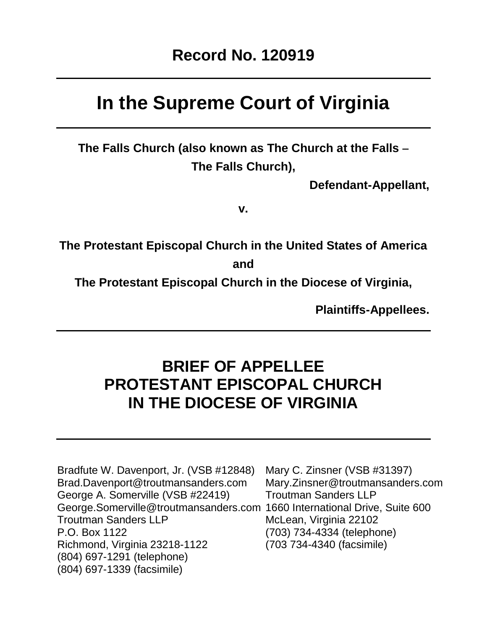# **In the Supreme Court of Virginia**

**The Falls Church (also known as The Church at the Falls – The Falls Church),**

**Defendant-Appellant,**

**v.**

**The Protestant Episcopal Church in the United States of America and**

**The Protestant Episcopal Church in the Diocese of Virginia,**

**Plaintiffs-Appellees.**

## **BRIEF OF APPELLEE PROTESTANT EPISCOPAL CHURCH IN THE DIOCESE OF VIRGINIA**

Bradfute W. Davenport, Jr. (VSB #12848) Mary C. Zinsner (VSB #31397) Brad.Davenport@troutmansanders.com Mary.Zinsner@troutmansanders.com George A. Somerville (VSB #22419) Troutman Sanders LLP [George.Somerville@troutmansanders.com](mailto:George.Somerville@troutmansanders.com) 1660 International Drive, Suite 600 Troutman Sanders LLP McLean, Virginia 22102 P.O. Box 1122 (703) 734-4334 (telephone) Richmond, Virginia 23218-1122 (703 734-4340 (facsimile) (804) 697-1291 (telephone) (804) 697-1339 (facsimile)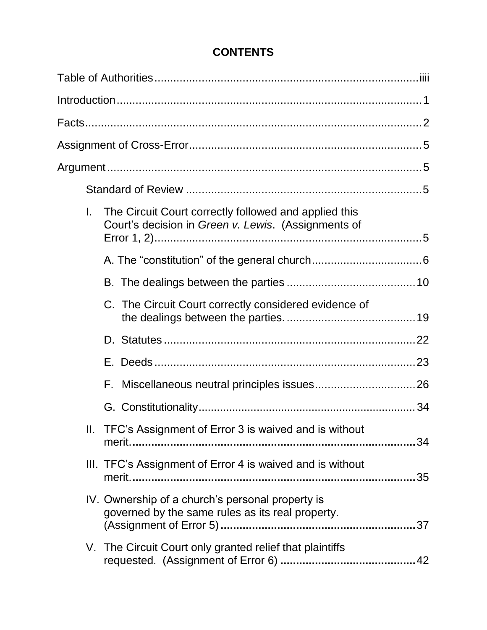| L. | The Circuit Court correctly followed and applied this<br>Court's decision in Green v. Lewis. (Assignments of |    |
|----|--------------------------------------------------------------------------------------------------------------|----|
|    |                                                                                                              |    |
|    |                                                                                                              |    |
|    | C. The Circuit Court correctly considered evidence of                                                        |    |
|    |                                                                                                              |    |
|    |                                                                                                              |    |
|    | F.                                                                                                           |    |
|    |                                                                                                              |    |
|    | II. TFC's Assignment of Error 3 is waived and is without                                                     | 34 |
|    | III. TFC's Assignment of Error 4 is waived and is without                                                    | 35 |
|    | IV. Ownership of a church's personal property is<br>governed by the same rules as its real property.         |    |
|    | V. The Circuit Court only granted relief that plaintiffs                                                     |    |

## **CONTENTS**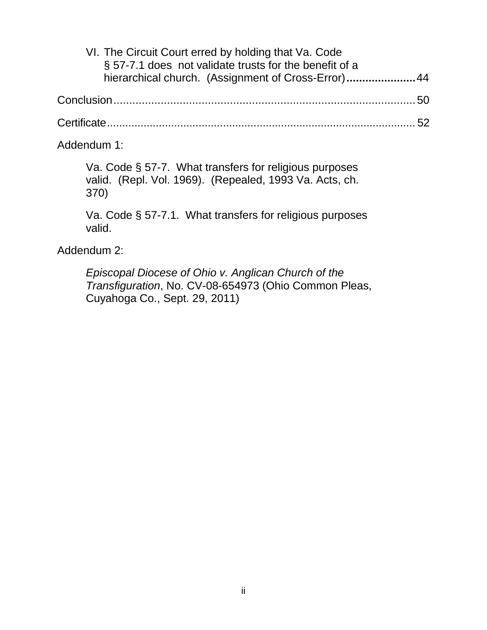| VI. The Circuit Court erred by holding that Va. Code   |  |
|--------------------------------------------------------|--|
| § 57-7.1 does not validate trusts for the benefit of a |  |
| hierarchical church. (Assignment of Cross-Error) 44    |  |
|                                                        |  |
|                                                        |  |
|                                                        |  |

[Addendum 1:](#page-62-0) 

Va. Code § [57-7. What transfers for religious purposes](#page-62-0)  [valid. \(Repl. Vol. 1969\). \(Repealed, 1993 Va. Acts, ch.](#page-62-0)  [370\)](#page-62-0)

Va. Code § 57-7.1. What transfers for religious purposes valid.

[Addendum 2:](#page-64-0)

<span id="page-2-0"></span>*[Episcopal Diocese of Ohio v. Anglican Church of the](#page-64-0)  Transfiguration*, No. [CV-08-654973 \(Ohio Common Pleas,](#page-64-0)  [Cuyahoga Co., Sept. 29, 2011\)](#page-64-0)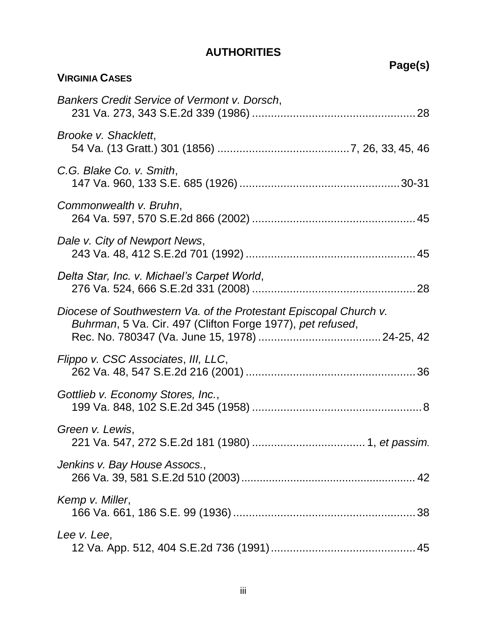## **AUTHORITIES**

|                                                                                                                                 | Page(s) |
|---------------------------------------------------------------------------------------------------------------------------------|---------|
| <b>VIRGINIA CASES</b>                                                                                                           |         |
| <b>Bankers Credit Service of Vermont v. Dorsch,</b>                                                                             |         |
| Brooke v. Shacklett.                                                                                                            |         |
| C.G. Blake Co. v. Smith,                                                                                                        |         |
| Commonwealth v. Bruhn,                                                                                                          |         |
| Dale v. City of Newport News,                                                                                                   |         |
| Delta Star, Inc. v. Michael's Carpet World,                                                                                     |         |
| Diocese of Southwestern Va. of the Protestant Episcopal Church v.<br>Buhrman, 5 Va. Cir. 497 (Clifton Forge 1977), pet refused, |         |
| Flippo v. CSC Associates, III, LLC,                                                                                             |         |
| Gottlieb v. Economy Stores, Inc.,                                                                                               |         |
| Green v. Lewis,                                                                                                                 |         |
| Jenkins v. Bay House Assocs.,                                                                                                   |         |
| Kemp v. Miller,                                                                                                                 |         |
| Lee v. Lee,                                                                                                                     |         |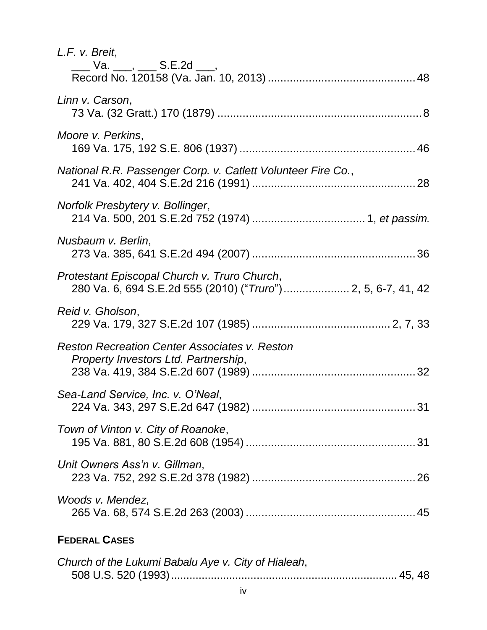| L.F. v. Breit,<br>___ Va. ___, ___ S.E.2d ___,                                                               |
|--------------------------------------------------------------------------------------------------------------|
| Linn v. Carson,                                                                                              |
| Moore v. Perkins,                                                                                            |
| National R.R. Passenger Corp. v. Catlett Volunteer Fire Co.,                                                 |
| Norfolk Presbytery v. Bollinger,                                                                             |
| Nusbaum v. Berlin,                                                                                           |
| Protestant Episcopal Church v. Truro Church,<br>280 Va. 6, 694 S.E.2d 555 (2010) ("Truro") 2, 5, 6-7, 41, 42 |
| Reid v. Gholson,                                                                                             |
| <b>Reston Recreation Center Associates v. Reston</b><br>Property Investors Ltd. Partnership,                 |
| Sea-Land Service, Inc. v. O'Neal,                                                                            |
| Town of Vinton v. City of Roanoke,                                                                           |
| Unit Owners Ass'n v. Gillman,                                                                                |
| Woods v. Mendez,                                                                                             |
| <b>FEDERAL CASES</b>                                                                                         |

| Church of the Lukumi Babalu Aye v. City of Hialeah, |  |
|-----------------------------------------------------|--|
|                                                     |  |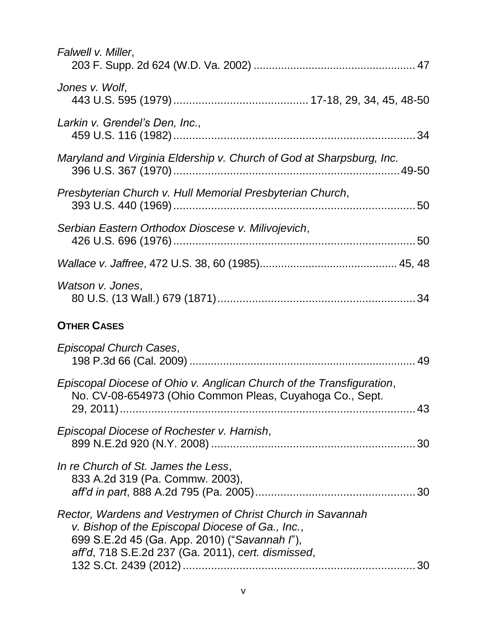| Falwell v. Miller,                                                                                                                                                                                                    |    |
|-----------------------------------------------------------------------------------------------------------------------------------------------------------------------------------------------------------------------|----|
| Jones v. Wolf,                                                                                                                                                                                                        |    |
| Larkin v. Grendel's Den, Inc.,                                                                                                                                                                                        |    |
| Maryland and Virginia Eldership v. Church of God at Sharpsburg, Inc.                                                                                                                                                  |    |
| Presbyterian Church v. Hull Memorial Presbyterian Church,                                                                                                                                                             |    |
| Serbian Eastern Orthodox Dioscese v. Milivojevich,                                                                                                                                                                    |    |
|                                                                                                                                                                                                                       |    |
| Watson v. Jones,                                                                                                                                                                                                      |    |
| <b>OTHER CASES</b>                                                                                                                                                                                                    |    |
| Episcopal Church Cases,                                                                                                                                                                                               |    |
| Episcopal Diocese of Ohio v. Anglican Church of the Transfiguration,<br>No. CV-08-654973 (Ohio Common Pleas, Cuyahoga Co., Sept.                                                                                      |    |
| Episcopal Diocese of Rochester v. Harnish,                                                                                                                                                                            | 30 |
| In re Church of St. James the Less,<br>833 A.2d 319 (Pa. Commw. 2003),                                                                                                                                                | 30 |
| Rector, Wardens and Vestrymen of Christ Church in Savannah<br>v. Bishop of the Episcopal Diocese of Ga., Inc.,<br>699 S.E.2d 45 (Ga. App. 2010) ("Savannah l"),<br>aff'd, 718 S.E.2d 237 (Ga. 2011), cert. dismissed, |    |
|                                                                                                                                                                                                                       |    |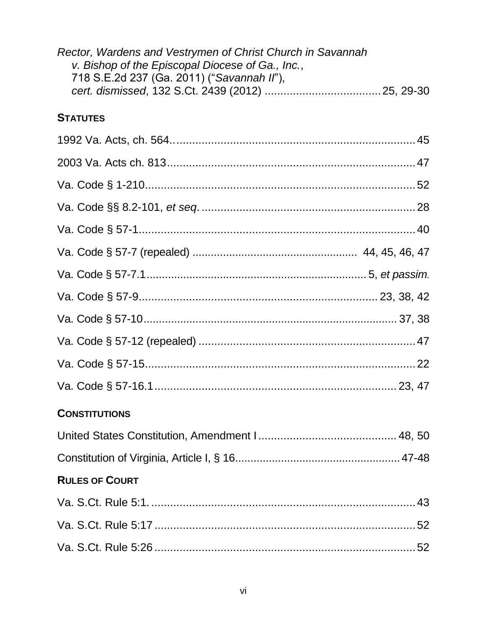| Rector, Wardens and Vestrymen of Christ Church in Savannah<br>v. Bishop of the Episcopal Diocese of Ga., Inc.,<br>718 S.E.2d 237 (Ga. 2011) ("Savannah II"), |  |
|--------------------------------------------------------------------------------------------------------------------------------------------------------------|--|
| <b>STATUTES</b>                                                                                                                                              |  |
|                                                                                                                                                              |  |
|                                                                                                                                                              |  |
|                                                                                                                                                              |  |
|                                                                                                                                                              |  |
|                                                                                                                                                              |  |
|                                                                                                                                                              |  |
|                                                                                                                                                              |  |
|                                                                                                                                                              |  |
|                                                                                                                                                              |  |
|                                                                                                                                                              |  |
|                                                                                                                                                              |  |
|                                                                                                                                                              |  |
| <b>CONSTITUTIONS</b>                                                                                                                                         |  |
|                                                                                                                                                              |  |
|                                                                                                                                                              |  |
| <b>RULES OF COURT</b>                                                                                                                                        |  |
|                                                                                                                                                              |  |
|                                                                                                                                                              |  |
|                                                                                                                                                              |  |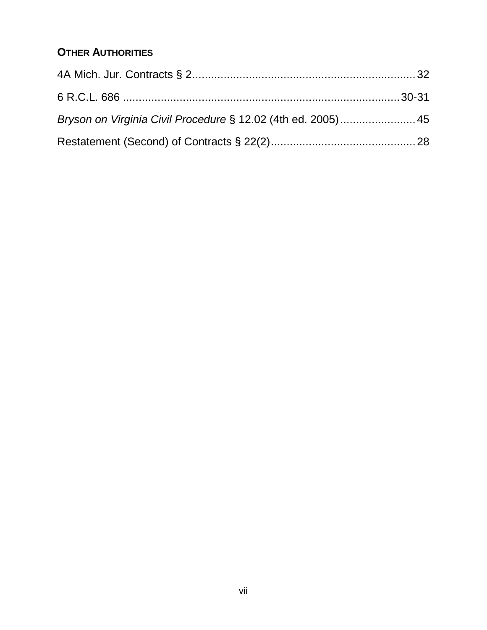## **OTHER AUTHORITIES**

| Bryson on Virginia Civil Procedure § 12.02 (4th ed. 2005) 45 |  |
|--------------------------------------------------------------|--|
|                                                              |  |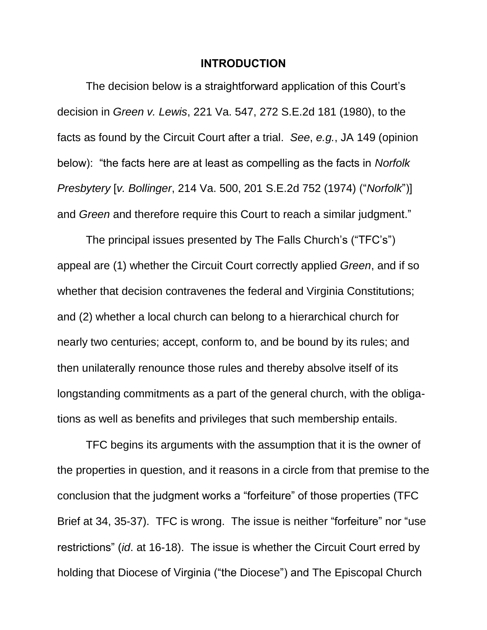#### **INTRODUCTION**

<span id="page-8-1"></span><span id="page-8-0"></span>The decision below is a straightforward application of this Court's decision in *Green v. Lewis*, 221 Va. 547, 272 S.E.2d 181 (1980), to the facts as found by the Circuit Court after a trial. *See*, *e.g.*, JA 149 (opinion below): "the facts here are at least as compelling as the facts in *Norfolk Presbytery* [*v. Bollinger*, 214 Va. 500, 201 S.E.2d 752 (1974) ("*Norfolk*")] and *Green* and therefore require this Court to reach a similar judgment."

The principal issues presented by The Falls Church's ("TFC's") appeal are (1) whether the Circuit Court correctly applied *Green*, and if so whether that decision contravenes the federal and Virginia Constitutions; and (2) whether a local church can belong to a hierarchical church for nearly two centuries; accept, conform to, and be bound by its rules; and then unilaterally renounce those rules and thereby absolve itself of its longstanding commitments as a part of the general church, with the obligations as well as benefits and privileges that such membership entails.

TFC begins its arguments with the assumption that it is the owner of the properties in question, and it reasons in a circle from that premise to the conclusion that the judgment works a "forfeiture" of those properties (TFC Brief at 34, 35-37). TFC is wrong. The issue is neither "forfeiture" nor "use restrictions" (*id*. at 16-18). The issue is whether the Circuit Court erred by holding that Diocese of Virginia ("the Diocese") and The Episcopal Church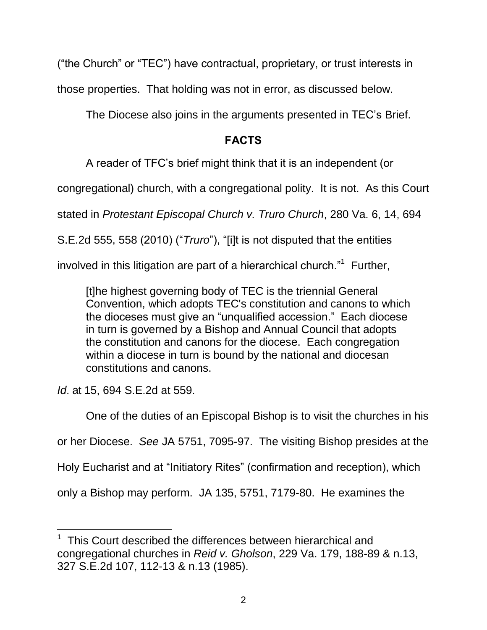("the Church" or "TEC") have contractual, proprietary, or trust interests in

those properties. That holding was not in error, as discussed below.

The Diocese also joins in the arguments presented in TEC's Brief.

## **FACTS**

<span id="page-9-0"></span>A reader of TFC's brief might think that it is an independent (or

congregational) church, with a congregational polity. It is not. As this Court

<span id="page-9-1"></span>stated in *Protestant Episcopal Church v. Truro Church*, 280 Va. 6, 14, 694

S.E.2d 555, 558 (2010) ("*Truro*"), "[i]t is not disputed that the entities

involved in this litigation are part of a hierarchical church."<sup>1</sup> Further,

[t]he highest governing body of TEC is the triennial General Convention, which adopts TEC's constitution and canons to which the dioceses must give an "unqualified accession." Each diocese in turn is governed by a Bishop and Annual Council that adopts the constitution and canons for the diocese. Each congregation within a diocese in turn is bound by the national and diocesan constitutions and canons.

*Id*. at 15, 694 S.E.2d at 559.

<span id="page-9-2"></span> $\overline{a}$ 

One of the duties of an Episcopal Bishop is to visit the churches in his or her Diocese. *See* JA 5751, 7095-97. The visiting Bishop presides at the Holy Eucharist and at "Initiatory Rites" (confirmation and reception), which only a Bishop may perform. JA 135, 5751, 7179-80. He examines the

<sup>&</sup>lt;sup>1</sup> This Court described the differences between hierarchical and congregational churches in *Reid v. Gholson*, 229 Va. 179, 188-89 & n.13, 327 S.E.2d 107, 112-13 & n.13 (1985).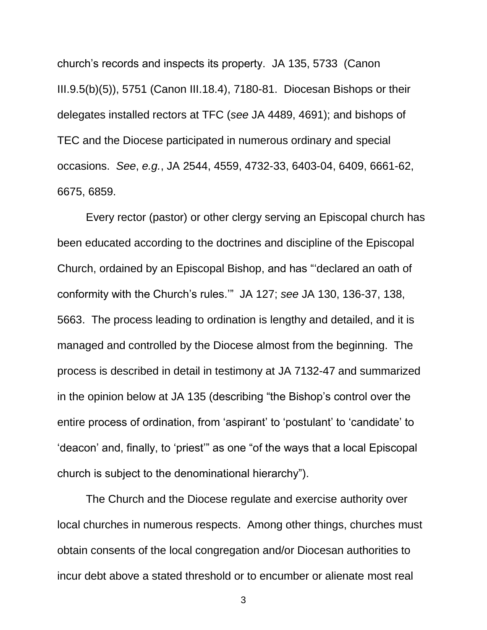church's records and inspects its property. JA 135, 5733 (Canon III.9.5(b)(5)), 5751 (Canon III.18.4), 7180-81. Diocesan Bishops or their delegates installed rectors at TFC (*see* JA 4489, 4691); and bishops of TEC and the Diocese participated in numerous ordinary and special occasions. *See*, *e.g.*, JA 2544, 4559, 4732-33, 6403-04, 6409, 6661-62, 6675, 6859.

Every rector (pastor) or other clergy serving an Episcopal church has been educated according to the doctrines and discipline of the Episcopal Church, ordained by an Episcopal Bishop, and has "'declared an oath of conformity with the Church's rules.'" JA 127; *see* JA 130, 136-37, 138, 5663. The process leading to ordination is lengthy and detailed, and it is managed and controlled by the Diocese almost from the beginning. The process is described in detail in testimony at JA 7132-47 and summarized in the opinion below at JA 135 (describing "the Bishop's control over the entire process of ordination, from 'aspirant' to 'postulant' to 'candidate' to 'deacon' and, finally, to 'priest'" as one "of the ways that a local Episcopal church is subject to the denominational hierarchy").

The Church and the Diocese regulate and exercise authority over local churches in numerous respects. Among other things, churches must obtain consents of the local congregation and/or Diocesan authorities to incur debt above a stated threshold or to encumber or alienate most real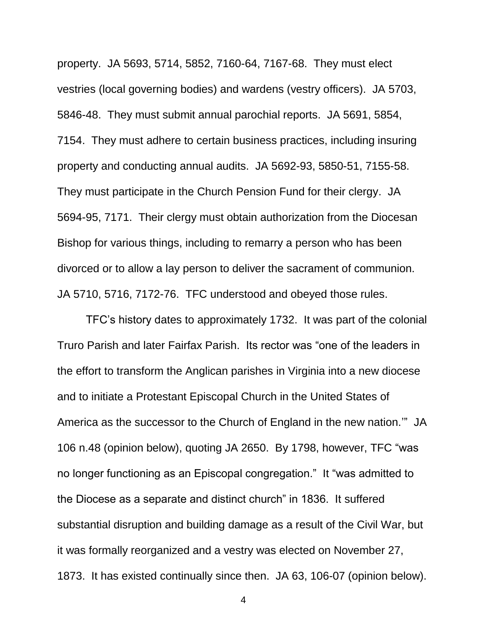property. JA 5693, 5714, 5852, 7160-64, 7167-68. They must elect vestries (local governing bodies) and wardens (vestry officers). JA 5703, 5846-48. They must submit annual parochial reports. JA 5691, 5854, 7154. They must adhere to certain business practices, including insuring property and conducting annual audits. JA 5692-93, 5850-51, 7155-58. They must participate in the Church Pension Fund for their clergy. JA 5694-95, 7171. Their clergy must obtain authorization from the Diocesan Bishop for various things, including to remarry a person who has been divorced or to allow a lay person to deliver the sacrament of communion. JA 5710, 5716, 7172-76. TFC understood and obeyed those rules.

TFC's history dates to approximately 1732. It was part of the colonial Truro Parish and later Fairfax Parish. Its rector was "one of the leaders in the effort to transform the Anglican parishes in Virginia into a new diocese and to initiate a Protestant Episcopal Church in the United States of America as the successor to the Church of England in the new nation.'" JA 106 n.48 (opinion below), quoting JA 2650. By 1798, however, TFC "was no longer functioning as an Episcopal congregation." It "was admitted to the Diocese as a separate and distinct church" in 1836. It suffered substantial disruption and building damage as a result of the Civil War, but it was formally reorganized and a vestry was elected on November 27, 1873. It has existed continually since then. JA 63, 106-07 (opinion below).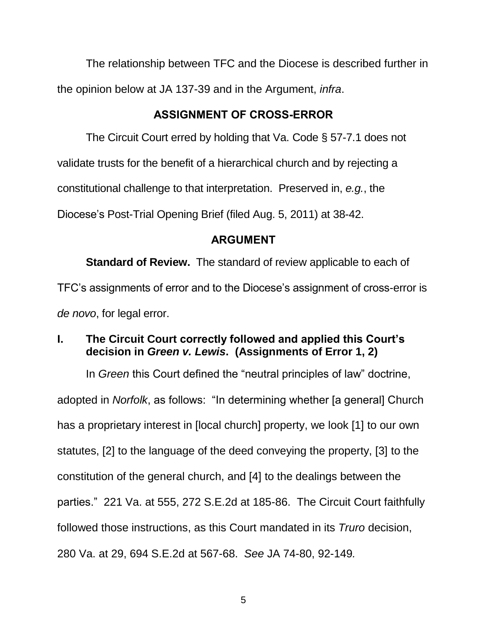The relationship between TFC and the Diocese is described further in the opinion below at JA 137-39 and in the Argument, *infra*.

## **ASSIGNMENT OF CROSS-ERROR**

<span id="page-12-0"></span>The Circuit Court erred by holding that Va. Code § 57-7.1 does not

validate trusts for the benefit of a hierarchical church and by rejecting a

constitutional challenge to that interpretation. Preserved in, *e.g.*, the

Diocese's Post-Trial Opening Brief (filed Aug. 5, 2011) at 38-42.

## <span id="page-12-4"></span><span id="page-12-3"></span>**ARGUMENT**

<span id="page-12-1"></span>**Standard of Review.** The standard of review applicable to each of TFC's assignments of error and to the Diocese's assignment of cross-error is *de novo*, for legal error.

## <span id="page-12-2"></span>**I. The Circuit Court correctly followed and applied this Court's decision in** *Green v. Lewis***. (Assignments of Error 1, 2)**

In *Green* this Court defined the "neutral principles of law" doctrine, adopted in *Norfolk*, as follows: "In determining whether [a general] Church has a proprietary interest in [local church] property, we look [1] to our own statutes, [2] to the language of the deed conveying the property, [3] to the constitution of the general church, and [4] to the dealings between the parties." 221 Va. at 555, 272 S.E.2d at 185-86. The Circuit Court faithfully followed those instructions, as this Court mandated in its *Truro* decision, 280 Va. at 29, 694 S.E.2d at 567-68. *See* JA 74-80, 92-149*.*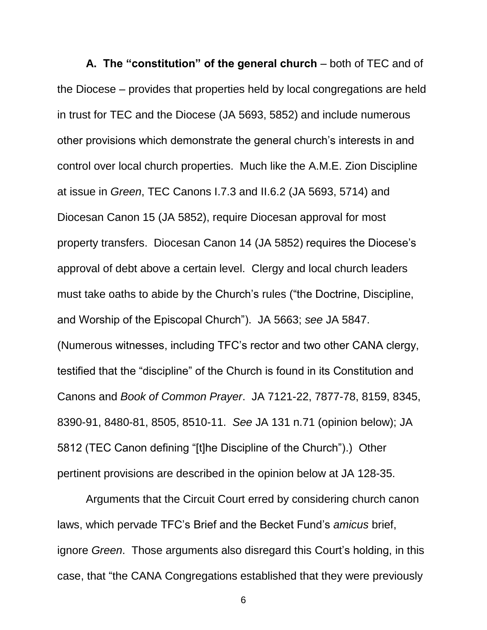**A. The "constitution" of the general church** – both of TEC and of the Diocese – provides that properties held by local congregations are held in trust for TEC and the Diocese (JA 5693, 5852) and include numerous other provisions which demonstrate the general church's interests in and control over local church properties. Much like the A.M.E. Zion Discipline at issue in *Green*, TEC Canons I.7.3 and II.6.2 (JA 5693, 5714) and Diocesan Canon 15 (JA 5852), require Diocesan approval for most property transfers. Diocesan Canon 14 (JA 5852) requires the Diocese's approval of debt above a certain level. Clergy and local church leaders must take oaths to abide by the Church's rules ("the Doctrine, Discipline, and Worship of the Episcopal Church"). JA 5663; *see* JA 5847. (Numerous witnesses, including TFC's rector and two other CANA clergy, testified that the "discipline" of the Church is found in its Constitution and Canons and *Book of Common Prayer*. JA 7121-22, 7877-78, 8159, 8345, 8390-91, 8480-81, 8505, 8510-11. *See* JA 131 n.71 (opinion below); JA 5812 (TEC Canon defining "[t]he Discipline of the Church").) Other pertinent provisions are described in the opinion below at JA 128-35.

Arguments that the Circuit Court erred by considering church canon laws, which pervade TFC's Brief and the Becket Fund's *amicus* brief, ignore *Green*. Those arguments also disregard this Court's holding, in this case, that "the CANA Congregations established that they were previously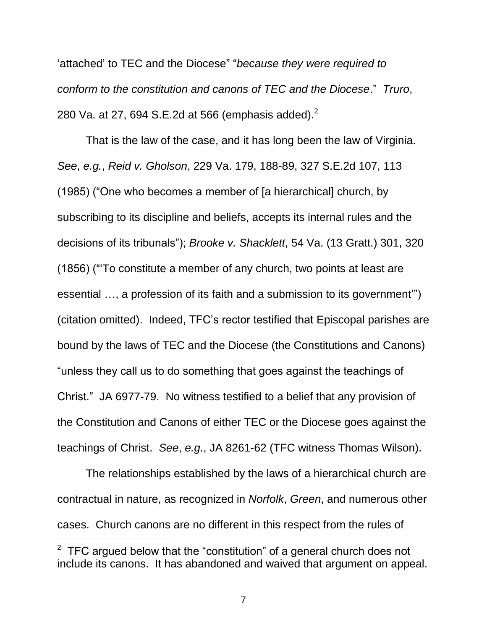<span id="page-14-1"></span>'attached' to TEC and the Diocese" "*because they were required to conform to the constitution and canons of TEC and the Diocese*." *Truro*, 280 Va. at 27, 694 S.E.2d at 566 (emphasis added). $^2$ 

<span id="page-14-2"></span><span id="page-14-0"></span>That is the law of the case, and it has long been the law of Virginia. *See*, *e.g.*, *Reid v. Gholson*, 229 Va. 179, 188-89, 327 S.E.2d 107, 113 (1985) ("One who becomes a member of [a hierarchical] church, by subscribing to its discipline and beliefs, accepts its internal rules and the decisions of its tribunals"); *Brooke v. Shacklett*, 54 Va. (13 Gratt.) 301, 320 (1856) ("'To constitute a member of any church, two points at least are essential …, a profession of its faith and a submission to its government'") (citation omitted). Indeed, TFC's rector testified that Episcopal parishes are bound by the laws of TEC and the Diocese (the Constitutions and Canons) "unless they call us to do something that goes against the teachings of Christ." JA 6977-79. No witness testified to a belief that any provision of the Constitution and Canons of either TEC or the Diocese goes against the teachings of Christ. *See*, *e.g.*, JA 8261-62 (TFC witness Thomas Wilson).

The relationships established by the laws of a hierarchical church are contractual in nature, as recognized in *Norfolk*, *Green*, and numerous other cases. Church canons are no different in this respect from the rules of

 $2$  TFC argued below that the "constitution" of a general church does not include its canons. It has abandoned and waived that argument on appeal.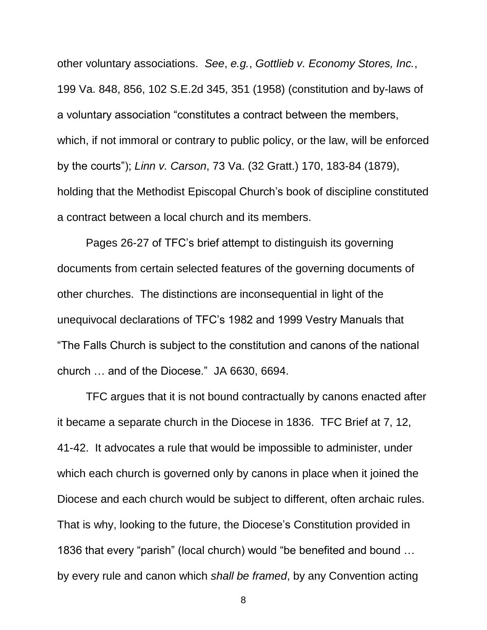<span id="page-15-0"></span>other voluntary associations. *See*, *e.g.*, *Gottlieb v. Economy Stores, Inc.*, 199 Va. 848, 856, 102 S.E.2d 345, 351 (1958) (constitution and by-laws of a voluntary association "constitutes a contract between the members, which, if not immoral or contrary to public policy, or the law, will be enforced by the courts"); *Linn v. Carson*, 73 Va. (32 Gratt.) 170, 183-84 (1879), holding that the Methodist Episcopal Church's book of discipline constituted a contract between a local church and its members.

<span id="page-15-1"></span>Pages 26-27 of TFC's brief attempt to distinguish its governing documents from certain selected features of the governing documents of other churches. The distinctions are inconsequential in light of the unequivocal declarations of TFC's 1982 and 1999 Vestry Manuals that "The Falls Church is subject to the constitution and canons of the national church … and of the Diocese." JA 6630, 6694.

TFC argues that it is not bound contractually by canons enacted after it became a separate church in the Diocese in 1836. TFC Brief at 7, 12, 41-42. It advocates a rule that would be impossible to administer, under which each church is governed only by canons in place when it joined the Diocese and each church would be subject to different, often archaic rules. That is why, looking to the future, the Diocese's Constitution provided in 1836 that every "parish" (local church) would "be benefited and bound … by every rule and canon which *shall be framed*, by any Convention acting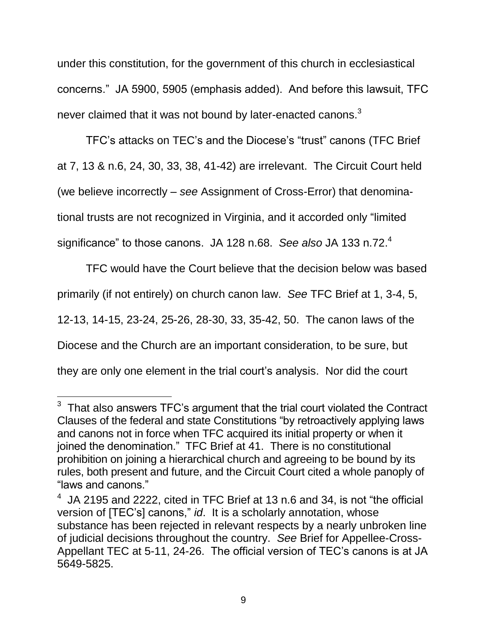under this constitution, for the government of this church in ecclesiastical concerns." JA 5900, 5905 (emphasis added). And before this lawsuit, TFC never claimed that it was not bound by later-enacted canons. $3$ 

TFC's attacks on TEC's and the Diocese's "trust" canons (TFC Brief at 7, 13 & n.6, 24, 30, 33, 38, 41-42) are irrelevant. The Circuit Court held (we believe incorrectly – *see* Assignment of Cross-Error) that denominational trusts are not recognized in Virginia, and it accorded only "limited significance" to those canons. JA 128 n.68. *See also* JA 133 n.72. 4

TFC would have the Court believe that the decision below was based primarily (if not entirely) on church canon law. *See* TFC Brief at 1, 3-4, 5, 12-13, 14-15, 23-24, 25-26, 28-30, 33, 35-42, 50. The canon laws of the Diocese and the Church are an important consideration, to be sure, but they are only one element in the trial court's analysis. Nor did the court

 $3$  That also answers TFC's argument that the trial court violated the Contract Clauses of the federal and state Constitutions "by retroactively applying laws and canons not in force when TFC acquired its initial property or when it joined the denomination." TFC Brief at 41. There is no constitutional prohibition on joining a hierarchical church and agreeing to be bound by its rules, both present and future, and the Circuit Court cited a whole panoply of "laws and canons."

 $4$  JA 2195 and 2222, cited in TFC Brief at 13 n.6 and 34, is not "the official version of [TEC's] canons," *id*. It is a scholarly annotation, whose substance has been rejected in relevant respects by a nearly unbroken line of judicial decisions throughout the country. *See* Brief for Appellee-Cross-Appellant TEC at 5-11, 24-26. The official version of TEC's canons is at JA 5649-5825.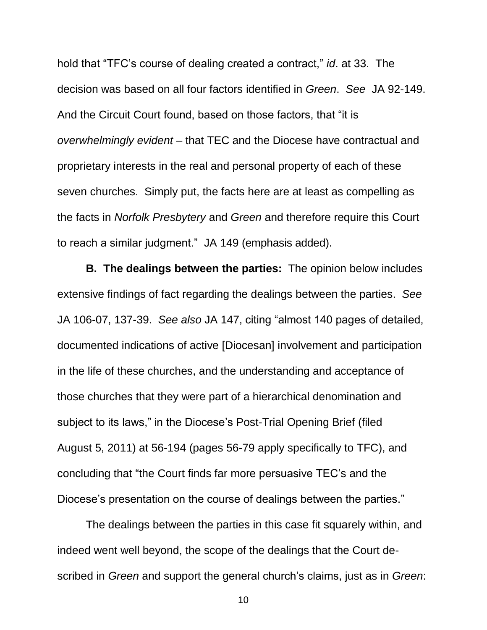hold that "TFC's course of dealing created a contract," *id*. at 33. The decision was based on all four factors identified in *Green*. *See* JA 92-149. And the Circuit Court found, based on those factors, that "it is *overwhelmingly evident* – that TEC and the Diocese have contractual and proprietary interests in the real and personal property of each of these seven churches. Simply put, the facts here are at least as compelling as the facts in *Norfolk Presbytery* and *Green* and therefore require this Court to reach a similar judgment." JA 149 (emphasis added).

**B. The dealings between the parties:** The opinion below includes extensive findings of fact regarding the dealings between the parties. *See* JA 106-07, 137-39. *See also* JA 147, citing "almost 140 pages of detailed, documented indications of active [Diocesan] involvement and participation in the life of these churches, and the understanding and acceptance of those churches that they were part of a hierarchical denomination and subject to its laws," in the Diocese's Post-Trial Opening Brief (filed August 5, 2011) at 56-194 (pages 56-79 apply specifically to TFC), and concluding that "the Court finds far more persuasive TEC's and the Diocese's presentation on the course of dealings between the parties."

The dealings between the parties in this case fit squarely within, and indeed went well beyond, the scope of the dealings that the Court described in *Green* and support the general church's claims, just as in *Green*: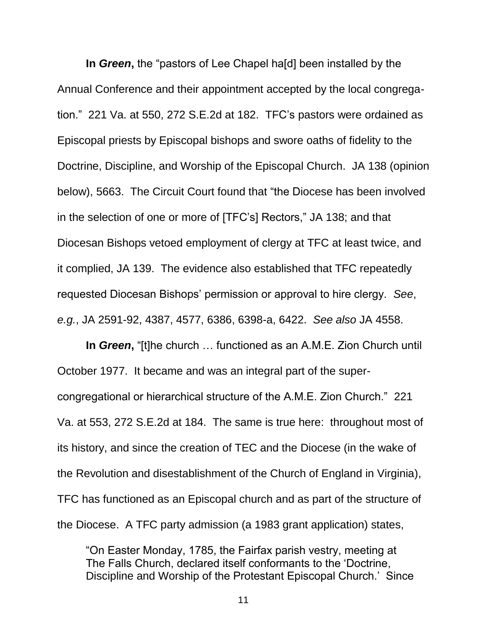**In** *Green***,** the "pastors of Lee Chapel ha[d] been installed by the Annual Conference and their appointment accepted by the local congregation." 221 Va. at 550, 272 S.E.2d at 182. TFC's pastors were ordained as Episcopal priests by Episcopal bishops and swore oaths of fidelity to the Doctrine, Discipline, and Worship of the Episcopal Church. JA 138 (opinion below), 5663. The Circuit Court found that "the Diocese has been involved in the selection of one or more of [TFC's] Rectors," JA 138; and that Diocesan Bishops vetoed employment of clergy at TFC at least twice, and it complied, JA 139. The evidence also established that TFC repeatedly requested Diocesan Bishops' permission or approval to hire clergy. *See*, *e.g.*, JA 2591-92, 4387, 4577, 6386, 6398-a, 6422. *See also* JA 4558.

**In** *Green***,** "[t]he church … functioned as an A.M.E. Zion Church until October 1977. It became and was an integral part of the supercongregational or hierarchical structure of the A.M.E. Zion Church." 221 Va. at 553, 272 S.E.2d at 184. The same is true here: throughout most of its history, and since the creation of TEC and the Diocese (in the wake of the Revolution and disestablishment of the Church of England in Virginia), TFC has functioned as an Episcopal church and as part of the structure of the Diocese. A TFC party admission (a 1983 grant application) states,

"On Easter Monday, 1785, the Fairfax parish vestry, meeting at The Falls Church, declared itself conformants to the 'Doctrine, Discipline and Worship of the Protestant Episcopal Church.' Since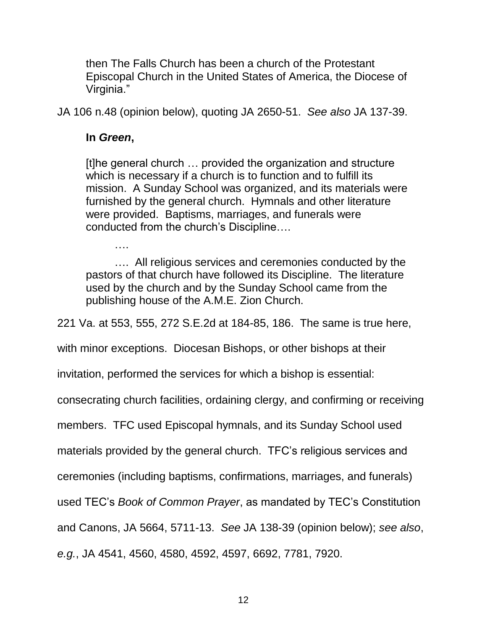then The Falls Church has been a church of the Protestant Episcopal Church in the United States of America, the Diocese of Virginia."

JA 106 n.48 (opinion below), quoting JA 2650-51. *See also* JA 137-39.

#### **In** *Green***,**

….

[t]he general church … provided the organization and structure which is necessary if a church is to function and to fulfill its mission. A Sunday School was organized, and its materials were furnished by the general church. Hymnals and other literature were provided. Baptisms, marriages, and funerals were conducted from the church's Discipline….

…. All religious services and ceremonies conducted by the pastors of that church have followed its Discipline. The literature used by the church and by the Sunday School came from the publishing house of the A.M.E. Zion Church.

221 Va. at 553, 555, 272 S.E.2d at 184-85, 186. The same is true here,

with minor exceptions. Diocesan Bishops, or other bishops at their

invitation, performed the services for which a bishop is essential:

consecrating church facilities, ordaining clergy, and confirming or receiving

members. TFC used Episcopal hymnals, and its Sunday School used

materials provided by the general church. TFC's religious services and

ceremonies (including baptisms, confirmations, marriages, and funerals)

used TEC's *Book of Common Prayer*, as mandated by TEC's Constitution

and Canons, JA 5664, 5711-13. *See* JA 138-39 (opinion below); *see also*,

*e.g.*, JA 4541, 4560, 4580, 4592, 4597, 6692, 7781, 7920.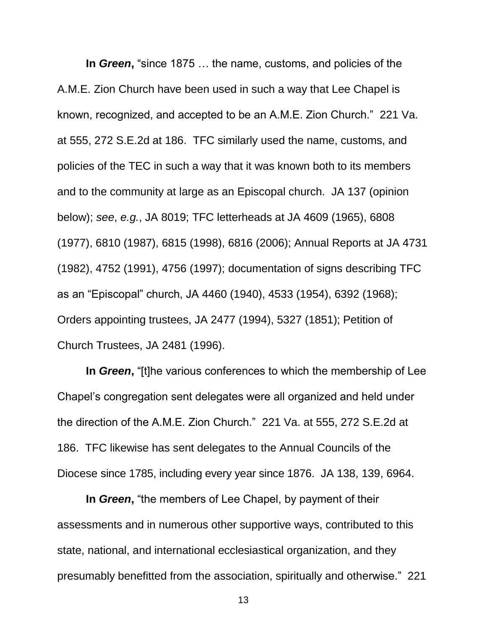**In** *Green***,** "since 1875 … the name, customs, and policies of the A.M.E. Zion Church have been used in such a way that Lee Chapel is known, recognized, and accepted to be an A.M.E. Zion Church." 221 Va. at 555, 272 S.E.2d at 186. TFC similarly used the name, customs, and policies of the TEC in such a way that it was known both to its members and to the community at large as an Episcopal church. JA 137 (opinion below); *see*, *e.g.*, JA 8019; TFC letterheads at JA 4609 (1965), 6808 (1977), 6810 (1987), 6815 (1998), 6816 (2006); Annual Reports at JA 4731 (1982), 4752 (1991), 4756 (1997); documentation of signs describing TFC as an "Episcopal" church, JA 4460 (1940), 4533 (1954), 6392 (1968); Orders appointing trustees, JA 2477 (1994), 5327 (1851); Petition of Church Trustees, JA 2481 (1996).

**In** *Green***,** "[t]he various conferences to which the membership of Lee Chapel's congregation sent delegates were all organized and held under the direction of the A.M.E. Zion Church." 221 Va. at 555, 272 S.E.2d at 186. TFC likewise has sent delegates to the Annual Councils of the Diocese since 1785, including every year since 1876. JA 138, 139, 6964.

**In** *Green***,** "the members of Lee Chapel, by payment of their assessments and in numerous other supportive ways, contributed to this state, national, and international ecclesiastical organization, and they presumably benefitted from the association, spiritually and otherwise." 221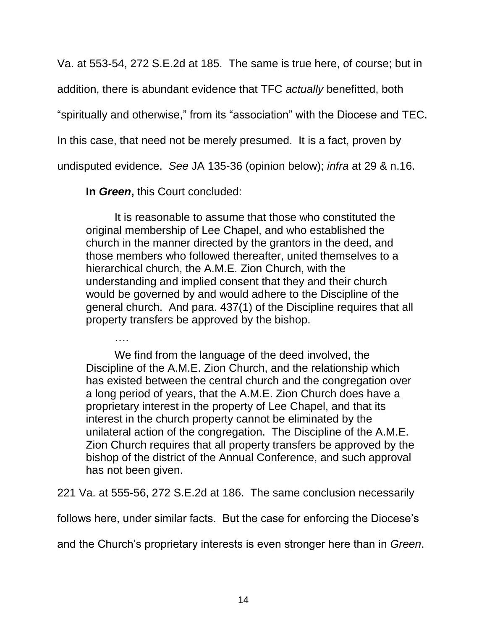Va. at 553-54, 272 S.E.2d at 185. The same is true here, of course; but in

addition, there is abundant evidence that TFC *actually* benefitted, both

"spiritually and otherwise," from its "association" with the Diocese and TEC.

In this case, that need not be merely presumed. It is a fact, proven by

undisputed evidence. *See* JA 135-36 (opinion below); *infra* at 29 & n.16.

**In** *Green***,** this Court concluded:

….

It is reasonable to assume that those who constituted the original membership of Lee Chapel, and who established the church in the manner directed by the grantors in the deed, and those members who followed thereafter, united themselves to a hierarchical church, the A.M.E. Zion Church, with the understanding and implied consent that they and their church would be governed by and would adhere to the Discipline of the general church. And para. 437(1) of the Discipline requires that all property transfers be approved by the bishop.

We find from the language of the deed involved, the Discipline of the A.M.E. Zion Church, and the relationship which has existed between the central church and the congregation over a long period of years, that the A.M.E. Zion Church does have a proprietary interest in the property of Lee Chapel, and that its interest in the church property cannot be eliminated by the unilateral action of the congregation. The Discipline of the A.M.E. Zion Church requires that all property transfers be approved by the bishop of the district of the Annual Conference, and such approval has not been given.

221 Va. at 555-56, 272 S.E.2d at 186. The same conclusion necessarily

follows here, under similar facts. But the case for enforcing the Diocese's

and the Church's proprietary interests is even stronger here than in *Green*.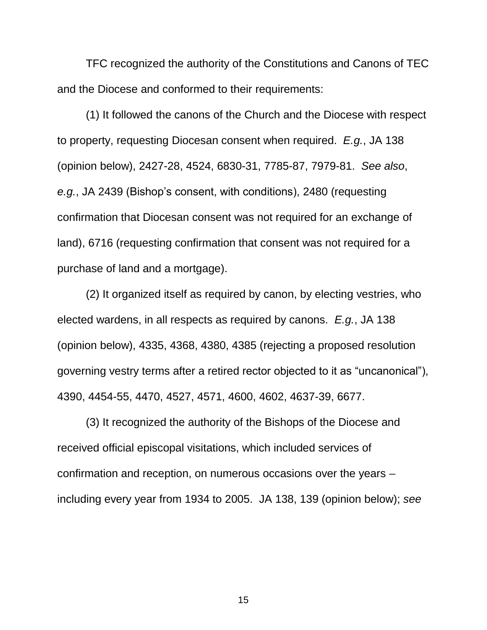TFC recognized the authority of the Constitutions and Canons of TEC and the Diocese and conformed to their requirements:

(1) It followed the canons of the Church and the Diocese with respect to property, requesting Diocesan consent when required. *E.g.*, JA 138 (opinion below), 2427-28, 4524, 6830-31, 7785-87, 7979-81. *See also*, *e.g.*, JA 2439 (Bishop's consent, with conditions), 2480 (requesting confirmation that Diocesan consent was not required for an exchange of land), 6716 (requesting confirmation that consent was not required for a purchase of land and a mortgage).

(2) It organized itself as required by canon, by electing vestries, who elected wardens, in all respects as required by canons. *E.g.*, JA 138 (opinion below), 4335, 4368, 4380, 4385 (rejecting a proposed resolution governing vestry terms after a retired rector objected to it as "uncanonical"), 4390, 4454-55, 4470, 4527, 4571, 4600, 4602, 4637-39, 6677.

(3) It recognized the authority of the Bishops of the Diocese and received official episcopal visitations, which included services of confirmation and reception, on numerous occasions over the years – including every year from 1934 to 2005. JA 138, 139 (opinion below); *see*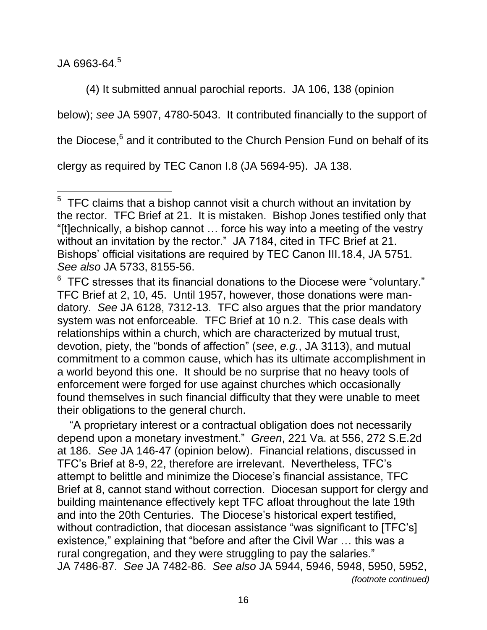JA 6963-64. 5

 $\overline{a}$ 

(4) It submitted annual parochial reports. JA 106, 138 (opinion below); *see* JA 5907, 4780-5043. It contributed financially to the support of the Diocese,<sup>6</sup> and it contributed to the Church Pension Fund on behalf of its clergy as required by TEC Canon I.8 (JA 5694-95). JA 138.

 "A proprietary interest or a contractual obligation does not necessarily depend upon a monetary investment." *Green*, 221 Va. at 556, 272 S.E.2d at 186. *See* JA 146-47 (opinion below). Financial relations, discussed in TFC's Brief at 8-9, 22, therefore are irrelevant. Nevertheless, TFC's attempt to belittle and minimize the Diocese's financial assistance, TFC Brief at 8, cannot stand without correction. Diocesan support for clergy and building maintenance effectively kept TFC afloat throughout the late 19th and into the 20th Centuries. The Diocese's historical expert testified, without contradiction, that diocesan assistance "was significant to [TFC's] existence," explaining that "before and after the Civil War … this was a rural congregation, and they were struggling to pay the salaries." JA 7486-87. *See* JA 7482-86. *See also* JA 5944, 5946, 5948, 5950, 5952, *(footnote continued)*

 $5$  TFC claims that a bishop cannot visit a church without an invitation by the rector. TFC Brief at 21. It is mistaken. Bishop Jones testified only that "[t]echnically, a bishop cannot … force his way into a meeting of the vestry without an invitation by the rector." JA 7184, cited in TFC Brief at 21. Bishops' official visitations are required by TEC Canon III.18.4, JA 5751. *See also* JA 5733, 8155-56.

 $6$  TFC stresses that its financial donations to the Diocese were "voluntary." TFC Brief at 2, 10, 45. Until 1957, however, those donations were mandatory. *See* JA 6128, 7312-13. TFC also argues that the prior mandatory system was not enforceable. TFC Brief at 10 n.2. This case deals with relationships within a church, which are characterized by mutual trust, devotion, piety, the "bonds of affection" (*see*, *e.g.*, JA 3113), and mutual commitment to a common cause, which has its ultimate accomplishment in a world beyond this one. It should be no surprise that no heavy tools of enforcement were forged for use against churches which occasionally found themselves in such financial difficulty that they were unable to meet their obligations to the general church.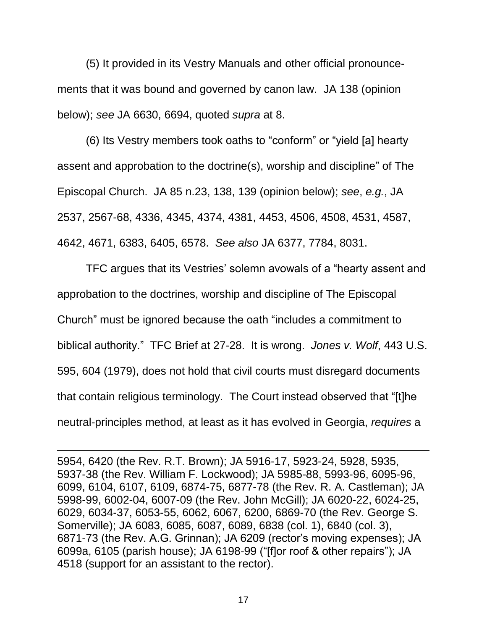(5) It provided in its Vestry Manuals and other official pronouncements that it was bound and governed by canon law. JA 138 (opinion below); *see* JA 6630, 6694, quoted *supra* at 8.

(6) Its Vestry members took oaths to "conform" or "yield [a] hearty assent and approbation to the doctrine(s), worship and discipline" of The Episcopal Church. JA 85 n.23, 138, 139 (opinion below); *see*, *e.g.*, JA 2537, 2567-68, 4336, 4345, 4374, 4381, 4453, 4506, 4508, 4531, 4587, 4642, 4671, 6383, 6405, 6578. *See also* JA 6377, 7784, 8031.

TFC argues that its Vestries' solemn avowals of a "hearty assent and approbation to the doctrines, worship and discipline of The Episcopal Church" must be ignored because the oath "includes a commitment to biblical authority." TFC Brief at 27-28. It is wrong. *Jones v. Wolf*, 443 U.S. 595, 604 (1979), does not hold that civil courts must disregard documents that contain religious terminology. The Court instead observed that "[t]he neutral-principles method, at least as it has evolved in Georgia, *requires* a

5954, 6420 (the Rev. R.T. Brown); JA 5916-17, 5923-24, 5928, 5935, 5937-38 (the Rev. William F. Lockwood); JA 5985-88, 5993-96, 6095-96, 6099, 6104, 6107, 6109, 6874-75, 6877-78 (the Rev. R. A. Castleman); JA 5998-99, 6002-04, 6007-09 (the Rev. John McGill); JA 6020-22, 6024-25, 6029, 6034-37, 6053-55, 6062, 6067, 6200, 6869-70 (the Rev. George S. Somerville); JA 6083, 6085, 6087, 6089, 6838 (col. 1), 6840 (col. 3), 6871-73 (the Rev. A.G. Grinnan); JA 6209 (rector's moving expenses); JA 6099a, 6105 (parish house); JA 6198-99 ("[f]or roof & other repairs"); JA 4518 (support for an assistant to the rector).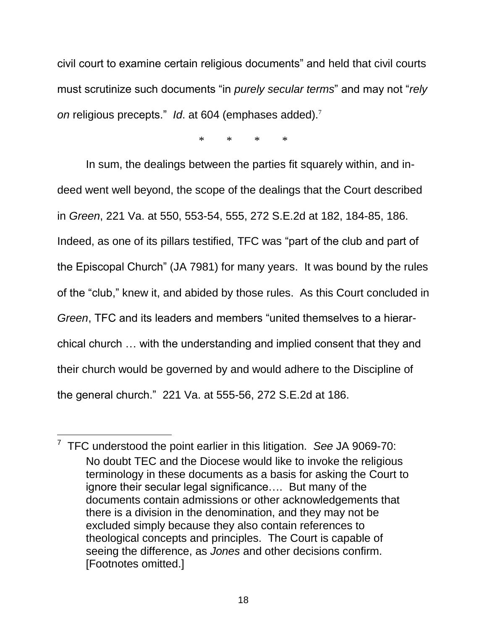civil court to examine certain religious documents" and held that civil courts must scrutinize such documents "in *purely secular terms*" and may not "*rely on* religious precepts." *Id*. at 604 (emphases added).<sup>7</sup>

\* \* \* \*

In sum, the dealings between the parties fit squarely within, and indeed went well beyond, the scope of the dealings that the Court described in *Green*, 221 Va. at 550, 553-54, 555, 272 S.E.2d at 182, 184-85, 186. Indeed, as one of its pillars testified, TFC was "part of the club and part of the Episcopal Church" (JA 7981) for many years. It was bound by the rules of the "club," knew it, and abided by those rules. As this Court concluded in *Green*, TFC and its leaders and members "united themselves to a hierarchical church … with the understanding and implied consent that they and their church would be governed by and would adhere to the Discipline of the general church." 221 Va. at 555-56, 272 S.E.2d at 186.

<sup>7</sup> TFC understood the point earlier in this litigation. *See* JA 9069-70: No doubt TEC and the Diocese would like to invoke the religious terminology in these documents as a basis for asking the Court to ignore their secular legal significance…. But many of the documents contain admissions or other acknowledgements that there is a division in the denomination, and they may not be excluded simply because they also contain references to theological concepts and principles. The Court is capable of seeing the difference, as *Jones* and other decisions confirm. [Footnotes omitted.]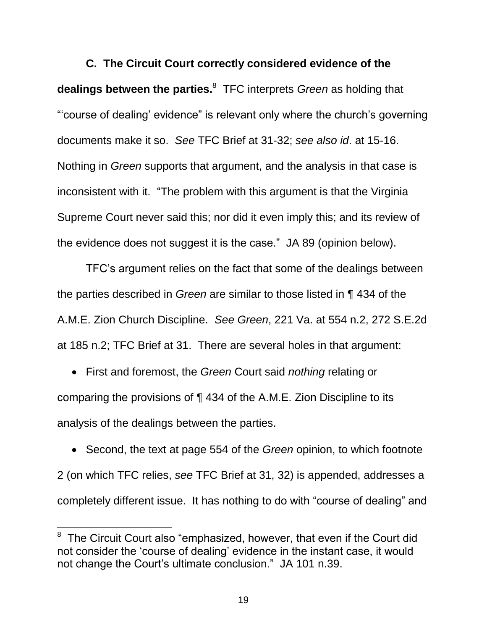**C. The Circuit Court correctly considered evidence of the dealings between the parties.**<sup>8</sup> TFC interprets *Green* as holding that "'course of dealing' evidence" is relevant only where the church's governing documents make it so. *See* TFC Brief at 31-32; *see also id*. at 15-16. Nothing in *Green* supports that argument, and the analysis in that case is inconsistent with it. "The problem with this argument is that the Virginia Supreme Court never said this; nor did it even imply this; and its review of the evidence does not suggest it is the case." JA 89 (opinion below).

TFC's argument relies on the fact that some of the dealings between the parties described in *Green* are similar to those listed in ¶ 434 of the A.M.E. Zion Church Discipline. *See Green*, 221 Va. at 554 n.2, 272 S.E.2d at 185 n.2; TFC Brief at 31. There are several holes in that argument:

 First and foremost, the *Green* Court said *nothing* relating or comparing the provisions of ¶ 434 of the A.M.E. Zion Discipline to its analysis of the dealings between the parties.

 Second, the text at page 554 of the *Green* opinion, to which footnote 2 (on which TFC relies, *see* TFC Brief at 31, 32) is appended, addresses a completely different issue. It has nothing to do with "course of dealing" and

 $8$  The Circuit Court also "emphasized, however, that even if the Court did not consider the 'course of dealing' evidence in the instant case, it would not change the Court's ultimate conclusion." JA 101 n.39.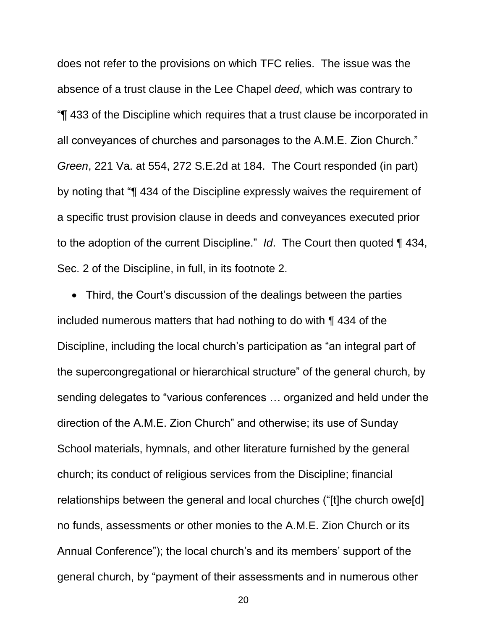does not refer to the provisions on which TFC relies. The issue was the absence of a trust clause in the Lee Chapel *deed*, which was contrary to "¶ 433 of the Discipline which requires that a trust clause be incorporated in all conveyances of churches and parsonages to the A.M.E. Zion Church." *Green*, 221 Va. at 554, 272 S.E.2d at 184. The Court responded (in part) by noting that "¶ 434 of the Discipline expressly waives the requirement of a specific trust provision clause in deeds and conveyances executed prior to the adoption of the current Discipline." *Id*. The Court then quoted ¶ 434, Sec. 2 of the Discipline, in full, in its footnote 2.

 Third, the Court's discussion of the dealings between the parties included numerous matters that had nothing to do with ¶ 434 of the Discipline, including the local church's participation as "an integral part of the supercongregational or hierarchical structure" of the general church, by sending delegates to "various conferences … organized and held under the direction of the A.M.E. Zion Church" and otherwise; its use of Sunday School materials, hymnals, and other literature furnished by the general church; its conduct of religious services from the Discipline; financial relationships between the general and local churches ("[t]he church owe[d] no funds, assessments or other monies to the A.M.E. Zion Church or its Annual Conference"); the local church's and its members' support of the general church, by "payment of their assessments and in numerous other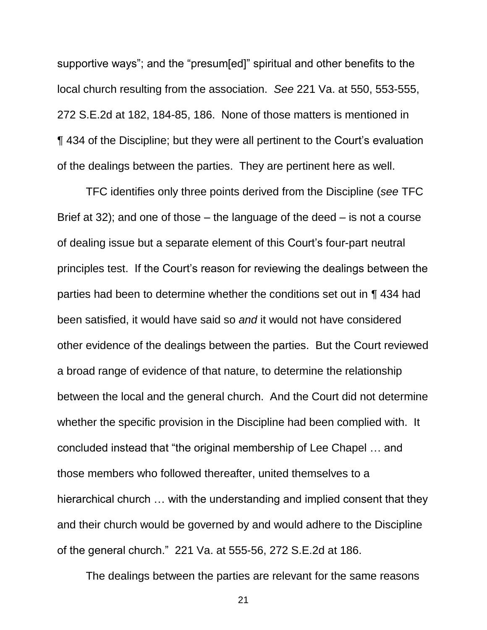supportive ways"; and the "presum[ed]" spiritual and other benefits to the local church resulting from the association. *See* 221 Va. at 550, 553-555, 272 S.E.2d at 182, 184-85, 186. None of those matters is mentioned in ¶ 434 of the Discipline; but they were all pertinent to the Court's evaluation of the dealings between the parties. They are pertinent here as well.

TFC identifies only three points derived from the Discipline (*see* TFC Brief at 32); and one of those – the language of the deed – is not a course of dealing issue but a separate element of this Court's four-part neutral principles test. If the Court's reason for reviewing the dealings between the parties had been to determine whether the conditions set out in ¶ 434 had been satisfied, it would have said so *and* it would not have considered other evidence of the dealings between the parties. But the Court reviewed a broad range of evidence of that nature, to determine the relationship between the local and the general church. And the Court did not determine whether the specific provision in the Discipline had been complied with. It concluded instead that "the original membership of Lee Chapel … and those members who followed thereafter, united themselves to a hierarchical church … with the understanding and implied consent that they and their church would be governed by and would adhere to the Discipline of the general church." 221 Va. at 555-56, 272 S.E.2d at 186.

The dealings between the parties are relevant for the same reasons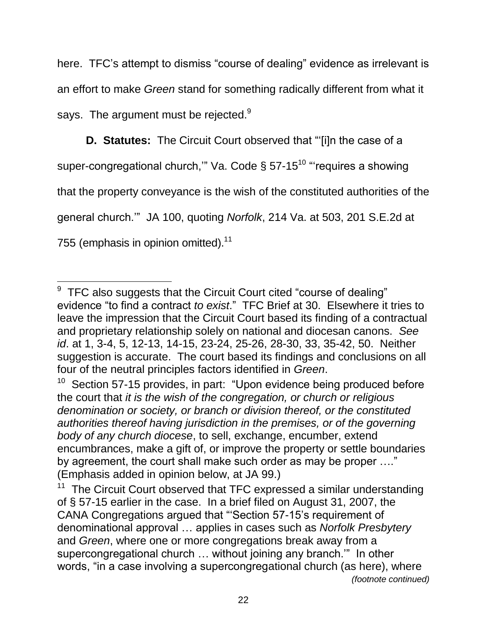here. TFC's attempt to dismiss "course of dealing" evidence as irrelevant is an effort to make *Green* stand for something radically different from what it says. The argument must be rejected. $9$ 

<span id="page-29-0"></span>**D. Statutes:** The Circuit Court observed that "'[i]n the case of a super-congregational church," Va. Code § 57-15<sup>10</sup> "requires a showing that the property conveyance is the wish of the constituted authorities of the general church.'" JA 100, quoting *Norfolk*, 214 Va. at 503, 201 S.E.2d at 755 (emphasis in opinion omitted).<sup>11</sup>

 $\overline{a}$  $9$  TFC also suggests that the Circuit Court cited "course of dealing" evidence "to find a contract *to exist*." TFC Brief at 30. Elsewhere it tries to leave the impression that the Circuit Court based its finding of a contractual and proprietary relationship solely on national and diocesan canons. *See id*. at 1, 3-4, 5, 12-13, 14-15, 23-24, 25-26, 28-30, 33, 35-42, 50. Neither suggestion is accurate. The court based its findings and conclusions on all four of the neutral principles factors identified in *Green*.

<sup>10</sup> Section 57-15 provides, in part: "Upon evidence being produced before the court that *it is the wish of the congregation, or church or religious denomination or society, or branch or division thereof, or the constituted authorities thereof having jurisdiction in the premises, or of the governing body of any church diocese*, to sell, exchange, encumber, extend encumbrances, make a gift of, or improve the property or settle boundaries by agreement, the court shall make such order as may be proper …." (Emphasis added in opinion below, at JA 99.)

<sup>11</sup> The Circuit Court observed that TFC expressed a similar understanding of § 57-15 earlier in the case. In a brief filed on August 31, 2007, the CANA Congregations argued that "'Section 57-15's requirement of denominational approval … applies in cases such as *Norfolk Presbytery* and *Green*, where one or more congregations break away from a supercongregational church ... without joining any branch." In other words, "in a case involving a supercongregational church (as here), where *(footnote continued)*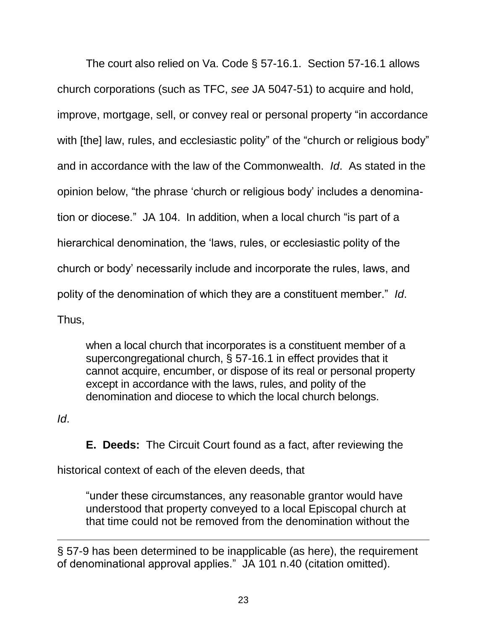The court also relied on Va. Code § 57-16.1. Section 57-16.1 allows church corporations (such as TFC, *see* JA 5047-51) to acquire and hold, improve, mortgage, sell, or convey real or personal property "in accordance with [the] law, rules, and ecclesiastic polity" of the "church or religious body" and in accordance with the law of the Commonwealth. *Id*. As stated in the opinion below, "the phrase 'church or religious body' includes a denomination or diocese." JA 104. In addition, when a local church "is part of a hierarchical denomination, the 'laws, rules, or ecclesiastic polity of the church or body' necessarily include and incorporate the rules, laws, and polity of the denomination of which they are a constituent member." *Id*. Thus,

when a local church that incorporates is a constituent member of a supercongregational church, § 57-16.1 in effect provides that it cannot acquire, encumber, or dispose of its real or personal property except in accordance with the laws, rules, and polity of the denomination and diocese to which the local church belongs.

*Id*.

 $\overline{a}$ 

**E. Deeds:** The Circuit Court found as a fact, after reviewing the

historical context of each of the eleven deeds, that

"under these circumstances, any reasonable grantor would have understood that property conveyed to a local Episcopal church at that time could not be removed from the denomination without the

<span id="page-30-0"></span>§ 57-9 has been determined to be inapplicable (as here), the requirement of denominational approval applies." JA 101 n.40 (citation omitted).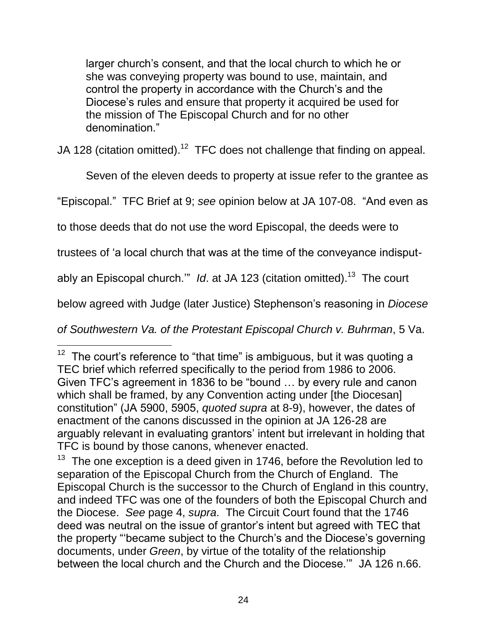larger church's consent, and that the local church to which he or she was conveying property was bound to use, maintain, and control the property in accordance with the Church's and the Diocese's rules and ensure that property it acquired be used for the mission of The Episcopal Church and for no other denomination."

JA 128 (citation omitted).<sup>12</sup> TFC does not challenge that finding on appeal.

Seven of the eleven deeds to property at issue refer to the grantee as

"Episcopal." TFC Brief at 9; *see* opinion below at JA 107-08. "And even as

to those deeds that do not use the word Episcopal, the deeds were to

trustees of 'a local church that was at the time of the conveyance indisput-

ably an Episcopal church.'" Id. at JA 123 (citation omitted).<sup>13</sup> The court

below agreed with Judge (later Justice) Stephenson's reasoning in *Diocese* 

*of Southwestern Va. of the Protestant Episcopal Church v. Buhrman*, 5 Va.

<sup>12</sup> The court's reference to "that time" is ambiguous, but it was quoting a TEC brief which referred specifically to the period from 1986 to 2006. Given TFC's agreement in 1836 to be "bound … by every rule and canon which shall be framed, by any Convention acting under [the Diocesan] constitution" (JA 5900, 5905, *quoted supra* at 8-9), however, the dates of enactment of the canons discussed in the opinion at JA 126-28 are arguably relevant in evaluating grantors' intent but irrelevant in holding that TFC is bound by those canons, whenever enacted.

 $13$  The one exception is a deed given in 1746, before the Revolution led to separation of the Episcopal Church from the Church of England. The Episcopal Church is the successor to the Church of England in this country, and indeed TFC was one of the founders of both the Episcopal Church and the Diocese. *See* page 4, *supra*. The Circuit Court found that the 1746 deed was neutral on the issue of grantor's intent but agreed with TEC that the property "'became subject to the Church's and the Diocese's governing documents, under *Green*, by virtue of the totality of the relationship between the local church and the Church and the Diocese.'" JA 126 n.66.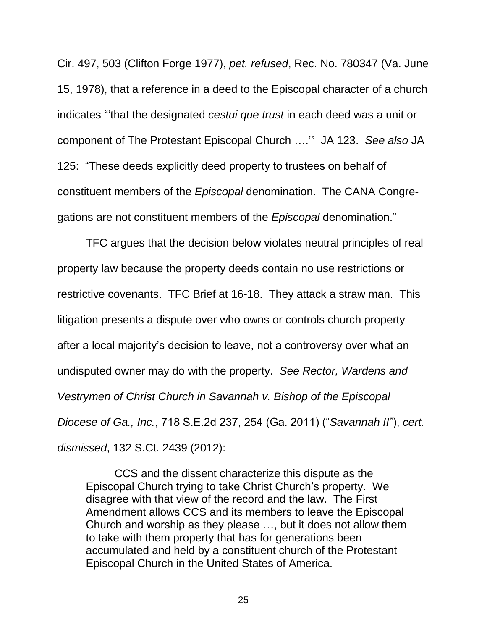Cir. 497, 503 (Clifton Forge 1977), *pet. refused*, Rec. No. 780347 (Va. June 15, 1978), that a reference in a deed to the Episcopal character of a church indicates "'that the designated *cestui que trust* in each deed was a unit or component of The Protestant Episcopal Church ….'" JA 123. *See also* JA 125: "These deeds explicitly deed property to trustees on behalf of constituent members of the *Episcopal* denomination. The CANA Congregations are not constituent members of the *Episcopal* denomination."

TFC argues that the decision below violates neutral principles of real property law because the property deeds contain no use restrictions or restrictive covenants. TFC Brief at 16-18. They attack a straw man. This litigation presents a dispute over who owns or controls church property after a local majority's decision to leave, not a controversy over what an undisputed owner may do with the property. *See Rector, Wardens and Vestrymen of Christ Church in Savannah v. Bishop of the Episcopal Diocese of Ga., Inc.*, 718 S.E.2d 237, 254 (Ga. 2011) ("*Savannah II*"), *cert. dismissed*, 132 S.Ct. 2439 (2012):

<span id="page-32-0"></span>CCS and the dissent characterize this dispute as the Episcopal Church trying to take Christ Church's property. We disagree with that view of the record and the law. The First Amendment allows CCS and its members to leave the Episcopal Church and worship as they please …, but it does not allow them to take with them property that has for generations been accumulated and held by a constituent church of the Protestant Episcopal Church in the United States of America.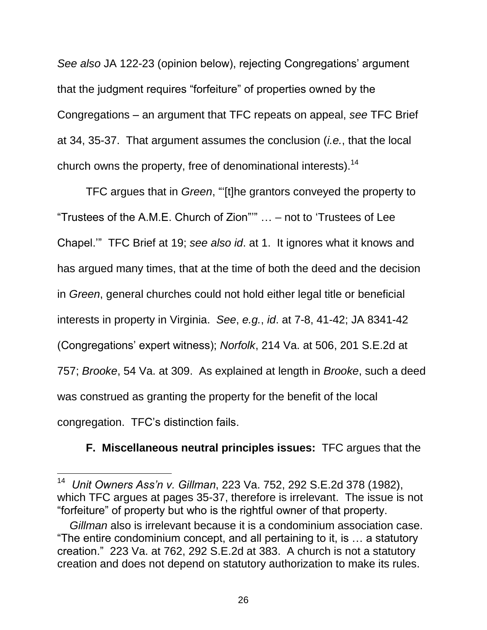*See also* JA 122-23 (opinion below), rejecting Congregations' argument that the judgment requires "forfeiture" of properties owned by the Congregations – an argument that TFC repeats on appeal, *see* TFC Brief at 34, 35-37. That argument assumes the conclusion (*i.e.*, that the local church owns the property, free of denominational interests).<sup>14</sup>

TFC argues that in *Green*, "'[t]he grantors conveyed the property to "Trustees of the A.M.E. Church of Zion"'" … – not to 'Trustees of Lee Chapel.'" TFC Brief at 19; *see also id*. at 1. It ignores what it knows and has argued many times, that at the time of both the deed and the decision in *Green*, general churches could not hold either legal title or beneficial interests in property in Virginia. *See*, *e.g.*, *id*. at 7-8, 41-42; JA 8341-42 (Congregations' expert witness); *Norfolk*, 214 Va. at 506, 201 S.E.2d at 757; *Brooke*, 54 Va. at 309. As explained at length in *Brooke*, such a deed was construed as granting the property for the benefit of the local congregation. TFC's distinction fails.

#### <span id="page-33-0"></span>**F. Miscellaneous neutral principles issues:** TFC argues that the

<sup>14</sup> *Unit Owners Ass'n v. Gillman*, 223 Va. 752, 292 S.E.2d 378 (1982), which TFC argues at pages 35-37, therefore is irrelevant. The issue is not "forfeiture" of property but who is the rightful owner of that property.

<span id="page-33-1"></span>*Gillman* also is irrelevant because it is a condominium association case. "The entire condominium concept, and all pertaining to it, is … a statutory creation." 223 Va. at 762, 292 S.E.2d at 383. A church is not a statutory creation and does not depend on statutory authorization to make its rules.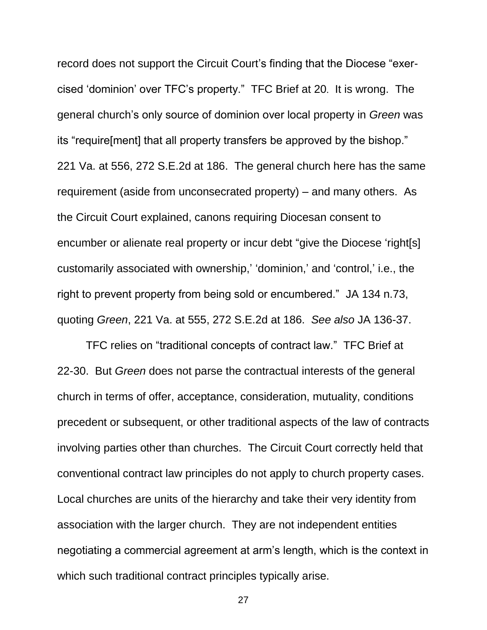record does not support the Circuit Court's finding that the Diocese "exercised 'dominion' over TFC's property." TFC Brief at 20. It is wrong. The general church's only source of dominion over local property in *Green* was its "require[ment] that all property transfers be approved by the bishop." 221 Va. at 556, 272 S.E.2d at 186. The general church here has the same requirement (aside from unconsecrated property) – and many others. As the Circuit Court explained, canons requiring Diocesan consent to encumber or alienate real property or incur debt "give the Diocese 'right[s] customarily associated with ownership,' 'dominion,' and 'control,' i.e., the right to prevent property from being sold or encumbered." JA 134 n.73, quoting *Green*, 221 Va. at 555, 272 S.E.2d at 186. *See also* JA 136-37.

TFC relies on "traditional concepts of contract law." TFC Brief at 22-30. But *Green* does not parse the contractual interests of the general church in terms of offer, acceptance, consideration, mutuality, conditions precedent or subsequent, or other traditional aspects of the law of contracts involving parties other than churches. The Circuit Court correctly held that conventional contract law principles do not apply to church property cases. Local churches are units of the hierarchy and take their very identity from association with the larger church. They are not independent entities negotiating a commercial agreement at arm's length, which is the context in which such traditional contract principles typically arise.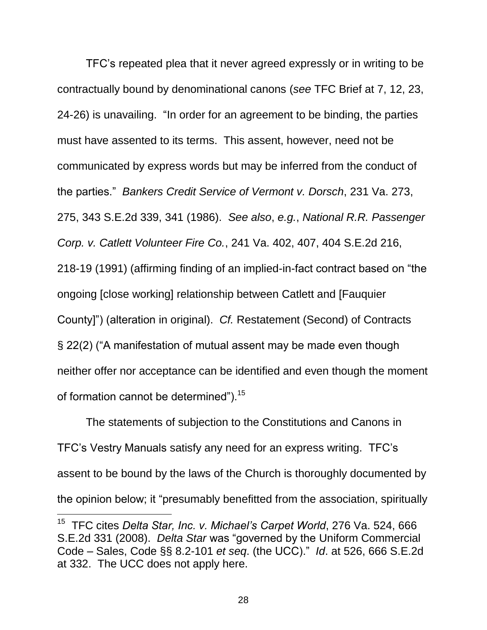<span id="page-35-2"></span><span id="page-35-0"></span>TFC's repeated plea that it never agreed expressly or in writing to be contractually bound by denominational canons (*see* TFC Brief at 7, 12, 23, 24-26) is unavailing. "In order for an agreement to be binding, the parties must have assented to its terms. This assent, however, need not be communicated by express words but may be inferred from the conduct of the parties." *Bankers Credit Service of Vermont v. Dorsch*, 231 Va. 273, 275, 343 S.E.2d 339, 341 (1986). *See also*, *e.g.*, *National R.R. Passenger Corp. v. Catlett Volunteer Fire Co.*, 241 Va. 402, 407, 404 S.E.2d 216, 218-19 (1991) (affirming finding of an implied-in-fact contract based on "the ongoing [close working] relationship between Catlett and [Fauquier County]") (alteration in original). *Cf.* Restatement (Second) of Contracts § 22(2) ("A manifestation of mutual assent may be made even though neither offer nor acceptance can be identified and even though the moment of formation cannot be determined").<sup>15</sup>

<span id="page-35-4"></span>The statements of subjection to the Constitutions and Canons in TFC's Vestry Manuals satisfy any need for an express writing. TFC's assent to be bound by the laws of the Church is thoroughly documented by the opinion below; it "presumably benefitted from the association, spiritually

<span id="page-35-3"></span><span id="page-35-1"></span><sup>15</sup> TFC cites *Delta Star, Inc. v. Michael's Carpet World*, 276 Va. 524, 666 S.E.2d 331 (2008). *Delta Star* was "governed by the Uniform Commercial Code – Sales, Code §§ 8.2-101 *et seq*. (the UCC)." *Id*. at 526, 666 S.E.2d at 332. The UCC does not apply here.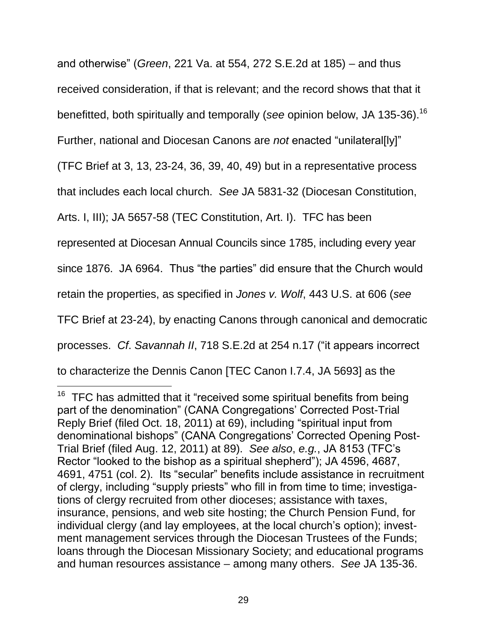and otherwise" (*Green*, 221 Va. at 554, 272 S.E.2d at 185) – and thus received consideration, if that is relevant; and the record shows that that it benefitted, both spiritually and temporally (see opinion below, JA 135-36).<sup>16</sup> Further, national and Diocesan Canons are *not* enacted "unilateral[ly]" (TFC Brief at 3, 13, 23-24, 36, 39, 40, 49) but in a representative process that includes each local church. *See* JA 5831-32 (Diocesan Constitution, Arts. I, III); JA 5657-58 (TEC Constitution, Art. I). TFC has been represented at Diocesan Annual Councils since 1785, including every year since 1876. JA 6964. Thus "the parties" did ensure that the Church would retain the properties, as specified in *Jones v. Wolf*, 443 U.S. at 606 (*see*  TFC Brief at 23-24), by enacting Canons through canonical and democratic processes. *Cf*. *Savannah II*, 718 S.E.2d at 254 n.17 ("it appears incorrect to characterize the Dennis Canon [TEC Canon I.7.4, JA 5693] as the

 $16$  TFC has admitted that it "received some spiritual benefits from being part of the denomination" (CANA Congregations' Corrected Post-Trial Reply Brief (filed Oct. 18, 2011) at 69), including "spiritual input from denominational bishops" (CANA Congregations' Corrected Opening Post-Trial Brief (filed Aug. 12, 2011) at 89). *See also*, *e.g.*, JA 8153 (TFC's Rector "looked to the bishop as a spiritual shepherd"); JA 4596, 4687, 4691, 4751 (col. 2). Its "secular" benefits include assistance in recruitment of clergy, including "supply priests" who fill in from time to time; investigations of clergy recruited from other dioceses; assistance with taxes, insurance, pensions, and web site hosting; the Church Pension Fund, for individual clergy (and lay employees, at the local church's option); investment management services through the Diocesan Trustees of the Funds; loans through the Diocesan Missionary Society; and educational programs and human resources assistance – among many others. *See* JA 135-36.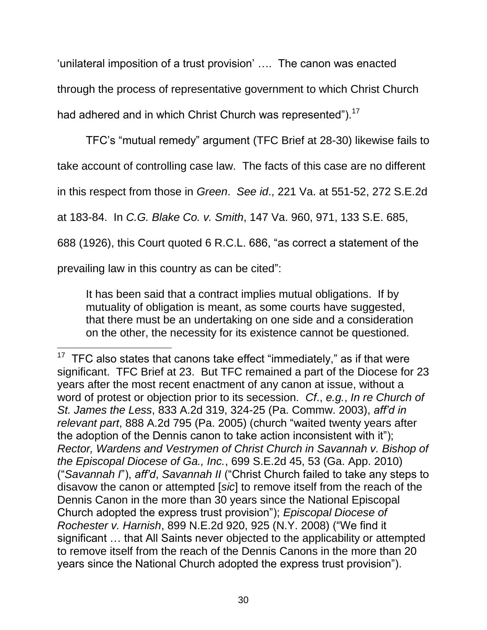'unilateral imposition of a trust provision' …. The canon was enacted through the process of representative government to which Christ Church had adhered and in which Christ Church was represented").<sup>17</sup>

TFC's "mutual remedy" argument (TFC Brief at 28-30) likewise fails to take account of controlling case law. The facts of this case are no different in this respect from those in *Green*. *See id*., 221 Va. at 551-52, 272 S.E.2d at 183-84. In *C.G. Blake Co. v. Smith*, 147 Va. 960, 971, 133 S.E. 685, 688 (1926), this Court quoted 6 R.C.L. 686, "as correct a statement of the prevailing law in this country as can be cited":

<span id="page-37-4"></span><span id="page-37-2"></span><span id="page-37-0"></span>It has been said that a contract implies mutual obligations. If by mutuality of obligation is meant, as some courts have suggested, that there must be an undertaking on one side and a consideration on the other, the necessity for its existence cannot be questioned.

<span id="page-37-3"></span><span id="page-37-1"></span> $17$  TFC also states that canons take effect "immediately," as if that were significant. TFC Brief at 23. But TFC remained a part of the Diocese for 23 years after the most recent enactment of any canon at issue, without a word of protest or objection prior to its secession. *Cf*., *e.g.*, *In re Church of St. James the Less*, 833 A.2d 319, 324-25 (Pa. Commw. 2003), *aff'd in relevant part*, 888 A.2d 795 (Pa. 2005) (church "waited twenty years after the adoption of the Dennis canon to take action inconsistent with it"); *Rector, Wardens and Vestrymen of Christ Church in Savannah v. Bishop of the Episcopal Diocese of Ga., Inc.*, 699 S.E.2d 45, 53 (Ga. App. 2010) ("*Savannah I*"), *aff'd*, *Savannah II* ("Christ Church failed to take any steps to disavow the canon or attempted [*sic*] to remove itself from the reach of the Dennis Canon in the more than 30 years since the National Episcopal Church adopted the express trust provision"); *Episcopal Diocese of Rochester v. Harnish*, 899 N.E.2d 920, 925 (N.Y. 2008) ("We find it significant … that All Saints never objected to the applicability or attempted to remove itself from the reach of the Dennis Canons in the more than 20 years since the National Church adopted the express trust provision").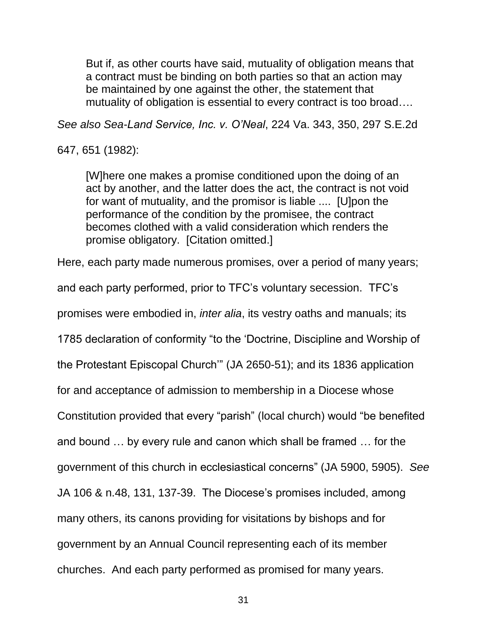But if, as other courts have said, mutuality of obligation means that a contract must be binding on both parties so that an action may be maintained by one against the other, the statement that mutuality of obligation is essential to every contract is too broad….

<span id="page-38-0"></span>*See also Sea-Land Service, Inc. v. O'Neal*, 224 Va. 343, 350, 297 S.E.2d

647, 651 (1982):

[W]here one makes a promise conditioned upon the doing of an act by another, and the latter does the act, the contract is not void for want of mutuality, and the promisor is liable .... [U]pon the performance of the condition by the promisee, the contract becomes clothed with a valid consideration which renders the promise obligatory. [Citation omitted.]

Here, each party made numerous promises, over a period of many years;

and each party performed, prior to TFC's voluntary secession. TFC's

promises were embodied in, *inter alia*, its vestry oaths and manuals; its

1785 declaration of conformity "to the 'Doctrine, Discipline and Worship of

the Protestant Episcopal Church'" (JA 2650-51); and its 1836 application

for and acceptance of admission to membership in a Diocese whose

Constitution provided that every "parish" (local church) would "be benefited

and bound … by every rule and canon which shall be framed … for the

government of this church in ecclesiastical concerns" (JA 5900, 5905). *See* 

JA 106 & n.48, 131, 137-39. The Diocese's promises included, among

many others, its canons providing for visitations by bishops and for

government by an Annual Council representing each of its member

churches. And each party performed as promised for many years.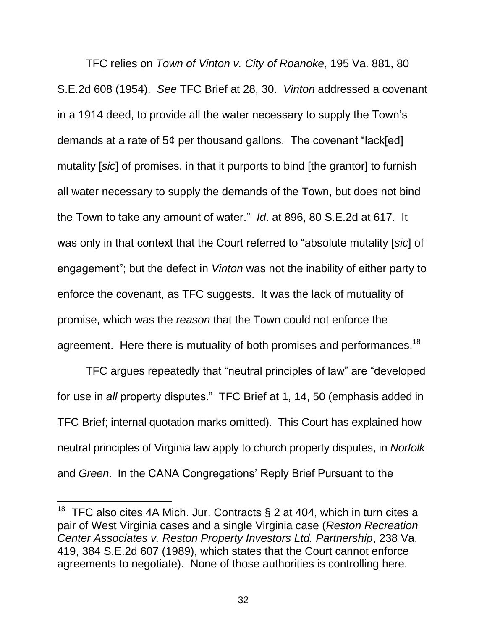<span id="page-39-1"></span>TFC relies on *Town of Vinton v. City of Roanoke*, 195 Va. 881, 80 S.E.2d 608 (1954). *See* TFC Brief at 28, 30. *Vinton* addressed a covenant in a 1914 deed, to provide all the water necessary to supply the Town's demands at a rate of 5¢ per thousand gallons. The covenant "lack[ed] mutality [*sic*] of promises, in that it purports to bind [the grantor] to furnish all water necessary to supply the demands of the Town, but does not bind the Town to take any amount of water." *Id*. at 896, 80 S.E.2d at 617. It was only in that context that the Court referred to "absolute mutality [*sic*] of engagement"; but the defect in *Vinton* was not the inability of either party to enforce the covenant, as TFC suggests. It was the lack of mutuality of promise, which was the *reason* that the Town could not enforce the agreement. Here there is mutuality of both promises and performances.<sup>18</sup>

TFC argues repeatedly that "neutral principles of law" are "developed for use in *all* property disputes." TFC Brief at 1, 14, 50 (emphasis added in TFC Brief; internal quotation marks omitted). This Court has explained how neutral principles of Virginia law apply to church property disputes, in *Norfolk* and *Green*. In the CANA Congregations' Reply Brief Pursuant to the

<span id="page-39-0"></span><sup>&</sup>lt;sup>18</sup> TFC also cites 4A Mich. Jur. Contracts  $\S 2$  at 404, which in turn cites a pair of West Virginia cases and a single Virginia case (*Reston Recreation Center Associates v. Reston Property Investors Ltd. Partnership*, 238 Va. 419, 384 S.E.2d 607 (1989), which states that the Court cannot enforce agreements to negotiate). None of those authorities is controlling here.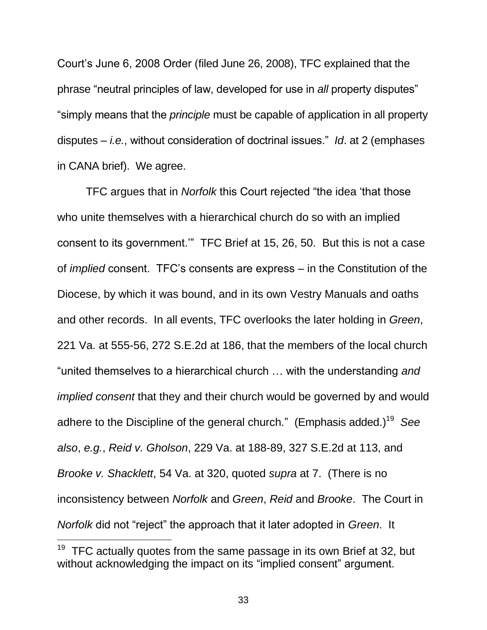Court's June 6, 2008 Order (filed June 26, 2008), TFC explained that the phrase "neutral principles of law, developed for use in *all* property disputes" "simply means that the *principle* must be capable of application in all property disputes – *i.e.*, without consideration of doctrinal issues." *Id*. at 2 (emphases in CANA brief). We agree.

TFC argues that in *Norfolk* this Court rejected "the idea 'that those who unite themselves with a hierarchical church do so with an implied consent to its government.'" TFC Brief at 15, 26, 50. But this is not a case of *implied* consent. TFC's consents are express – in the Constitution of the Diocese, by which it was bound, and in its own Vestry Manuals and oaths and other records. In all events, TFC overlooks the later holding in *Green*, 221 Va. at 555-56, 272 S.E.2d at 186, that the members of the local church "united themselves to a hierarchical church … with the understanding *and implied consent* that they and their church would be governed by and would adhere to the Discipline of the general church." (Emphasis added.) 19 *See also*, *e.g.*, *Reid v. Gholson*, 229 Va. at 188-89, 327 S.E.2d at 113, and *Brooke v. Shacklett*, 54 Va. at 320, quoted *supra* at 7. (There is no inconsistency between *Norfolk* and *Green*, *Reid* and *Brooke*. The Court in *Norfolk* did not "reject" the approach that it later adopted in *Green*. It

<span id="page-40-1"></span><span id="page-40-0"></span> $19$  TFC actually quotes from the same passage in its own Brief at 32, but without acknowledging the impact on its "implied consent" argument.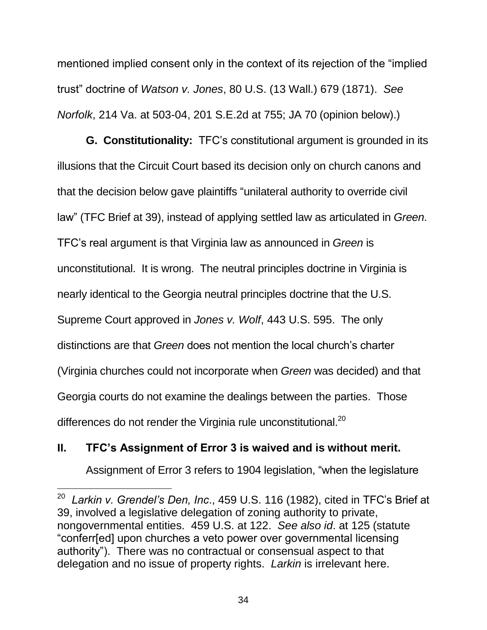<span id="page-41-2"></span>mentioned implied consent only in the context of its rejection of the "implied trust" doctrine of *Watson v. Jones*, 80 U.S. (13 Wall.) 679 (1871). *See Norfolk*, 214 Va. at 503-04, 201 S.E.2d at 755; JA 70 (opinion below).)

**G. Constitutionality:** TFC's constitutional argument is grounded in its illusions that the Circuit Court based its decision only on church canons and that the decision below gave plaintiffs "unilateral authority to override civil law" (TFC Brief at 39), instead of applying settled law as articulated in *Green*. TFC's real argument is that Virginia law as announced in *Green* is unconstitutional. It is wrong. The neutral principles doctrine in Virginia is nearly identical to the Georgia neutral principles doctrine that the U.S. Supreme Court approved in *Jones v. Wolf*, 443 U.S. 595. The only distinctions are that *Green* does not mention the local church's charter (Virginia churches could not incorporate when *Green* was decided) and that Georgia courts do not examine the dealings between the parties. Those differences do not render the Virginia rule unconstitutional.<sup>20</sup>

## <span id="page-41-0"></span>**II. TFC's Assignment of Error 3 is waived and is without merit.**

 $\overline{a}$ 

Assignment of Error 3 refers to 1904 legislation, "when the legislature

<span id="page-41-1"></span><sup>20</sup> *Larkin v. Grendel's Den, Inc*., 459 U.S. 116 (1982), cited in TFC's Brief at 39, involved a legislative delegation of zoning authority to private, nongovernmental entities. 459 U.S. at 122. *See also id*. at 125 (statute "conferr[ed] upon churches a veto power over governmental licensing authority"). There was no contractual or consensual aspect to that delegation and no issue of property rights. *Larkin* is irrelevant here.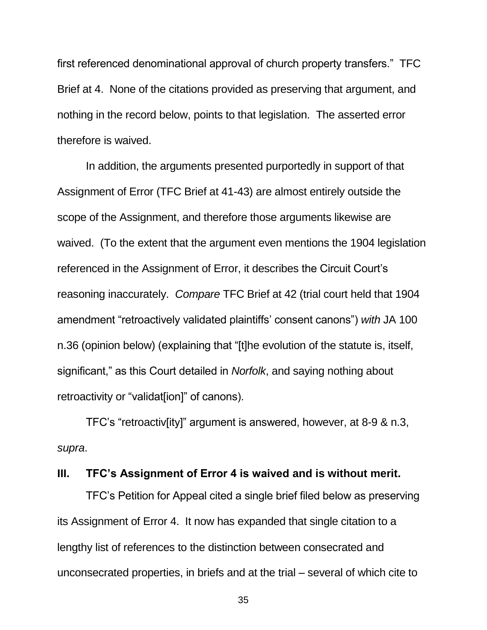first referenced denominational approval of church property transfers." TFC Brief at 4. None of the citations provided as preserving that argument, and nothing in the record below, points to that legislation. The asserted error therefore is waived.

In addition, the arguments presented purportedly in support of that Assignment of Error (TFC Brief at 41-43) are almost entirely outside the scope of the Assignment, and therefore those arguments likewise are waived. (To the extent that the argument even mentions the 1904 legislation referenced in the Assignment of Error, it describes the Circuit Court's reasoning inaccurately. *Compare* TFC Brief at 42 (trial court held that 1904 amendment "retroactively validated plaintiffs' consent canons") *with* JA 100 n.36 (opinion below) (explaining that "[t]he evolution of the statute is, itself, significant," as this Court detailed in *Norfolk*, and saying nothing about retroactivity or "validat[ion]" of canons).

TFC's "retroactiv[ity]" argument is answered, however, at 8-9 & n.3, *supra*.

#### <span id="page-42-0"></span>**III. TFC's Assignment of Error 4 is waived and is without merit.**

TFC's Petition for Appeal cited a single brief filed below as preserving its Assignment of Error 4. It now has expanded that single citation to a lengthy list of references to the distinction between consecrated and unconsecrated properties, in briefs and at the trial – several of which cite to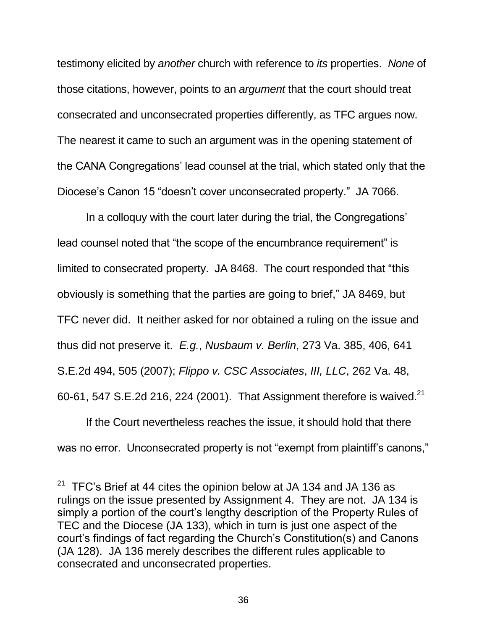testimony elicited by *another* church with reference to *its* properties. *None* of those citations, however, points to an *argument* that the court should treat consecrated and unconsecrated properties differently, as TFC argues now. The nearest it came to such an argument was in the opening statement of the CANA Congregations' lead counsel at the trial, which stated only that the Diocese's Canon 15 "doesn't cover unconsecrated property." JA 7066.

In a colloquy with the court later during the trial, the Congregations' lead counsel noted that "the scope of the encumbrance requirement" is limited to consecrated property. JA 8468. The court responded that "this obviously is something that the parties are going to brief," JA 8469, but TFC never did. It neither asked for nor obtained a ruling on the issue and thus did not preserve it. *E.g.*, *Nusbaum v. Berlin*, 273 Va. 385, 406, 641 S.E.2d 494, 505 (2007); *Flippo v. CSC Associates*, *III, LLC*, 262 Va. 48, 60-61, 547 S.E.2d 216, 224 (2001). That Assignment therefore is waived.<sup>21</sup>

<span id="page-43-1"></span><span id="page-43-0"></span>If the Court nevertheless reaches the issue, it should hold that there was no error. Unconsecrated property is not "exempt from plaintiff's canons,"

 $21$  TFC's Brief at 44 cites the opinion below at JA 134 and JA 136 as rulings on the issue presented by Assignment 4. They are not. JA 134 is simply a portion of the court's lengthy description of the Property Rules of TEC and the Diocese (JA 133), which in turn is just one aspect of the court's findings of fact regarding the Church's Constitution(s) and Canons (JA 128). JA 136 merely describes the different rules applicable to consecrated and unconsecrated properties.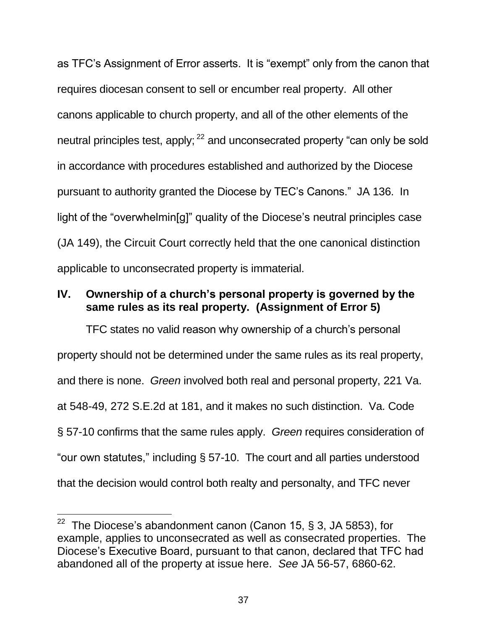as TFC's Assignment of Error asserts. It is "exempt" only from the canon that requires diocesan consent to sell or encumber real property. All other canons applicable to church property, and all of the other elements of the neutral principles test, apply;<sup>22</sup> and unconsecrated property "can only be sold in accordance with procedures established and authorized by the Diocese pursuant to authority granted the Diocese by TEC's Canons." JA 136. In light of the "overwhelmin[g]" quality of the Diocese's neutral principles case (JA 149), the Circuit Court correctly held that the one canonical distinction applicable to unconsecrated property is immaterial.

#### <span id="page-44-0"></span>**IV. Ownership of a church's personal property is governed by the same rules as its real property. (Assignment of Error 5)**

<span id="page-44-1"></span>TFC states no valid reason why ownership of a church's personal property should not be determined under the same rules as its real property, and there is none. *Green* involved both real and personal property, 221 Va. at 548-49, 272 S.E.2d at 181, and it makes no such distinction. Va. Code § 57-10 confirms that the same rules apply. *Green* requires consideration of "our own statutes," including § 57-10. The court and all parties understood that the decision would control both realty and personalty, and TFC never

<sup>&</sup>lt;sup>22</sup> The Diocese's abandonment canon (Canon 15, § 3, JA 5853), for example, applies to unconsecrated as well as consecrated properties. The Diocese's Executive Board, pursuant to that canon, declared that TFC had abandoned all of the property at issue here. *See* JA 56-57, 6860-62.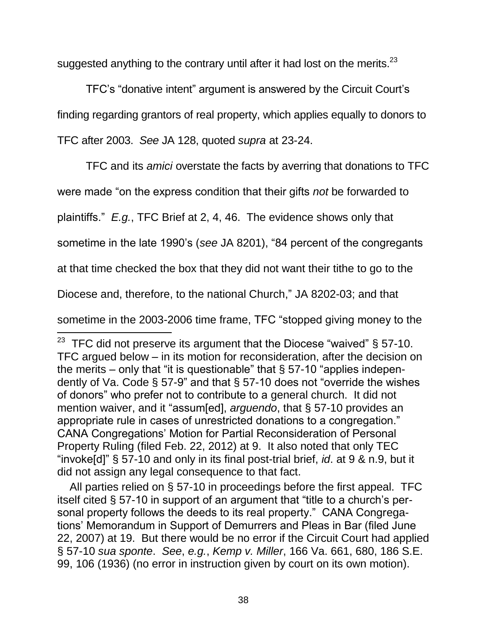suggested anything to the contrary until after it had lost on the merits. $^{23}$ 

TFC's "donative intent" argument is answered by the Circuit Court's finding regarding grantors of real property, which applies equally to donors to TFC after 2003. *See* JA 128, quoted *supra* at 23-24.

TFC and its *amici* overstate the facts by averring that donations to TFC

were made "on the express condition that their gifts *not* be forwarded to

plaintiffs." *E.g.*, TFC Brief at 2, 4, 46. The evidence shows only that

sometime in the late 1990's (*see* JA 8201), "84 percent of the congregants

at that time checked the box that they did not want their tithe to go to the

Diocese and, therefore, to the national Church," JA 8202-03; and that

 $\overline{a}$ 

sometime in the 2003-2006 time frame, TFC "stopped giving money to the

<span id="page-45-2"></span><span id="page-45-0"></span> All parties relied on § 57-10 in proceedings before the first appeal. TFC itself cited § 57-10 in support of an argument that "title to a church's personal property follows the deeds to its real property." CANA Congregations' Memorandum in Support of Demurrers and Pleas in Bar (filed June 22, 2007) at 19. But there would be no error if the Circuit Court had applied § 57-10 *sua sponte*. *See*, *e.g.*, *Kemp v. Miller*, 166 Va. 661, 680, 186 S.E. 99, 106 (1936) (no error in instruction given by court on its own motion).

<span id="page-45-1"></span><sup>&</sup>lt;sup>23</sup> TFC did not preserve its argument that the Diocese "waived"  $\S$  57-10. TFC argued below – in its motion for reconsideration, after the decision on the merits – only that "it is questionable" that  $\S$  57-10 "applies independently of Va. Code § 57-9" and that § 57-10 does not "override the wishes of donors" who prefer not to contribute to a general church. It did not mention waiver, and it "assum[ed], *arguendo*, that § 57-10 provides an appropriate rule in cases of unrestricted donations to a congregation." CANA Congregations' Motion for Partial Reconsideration of Personal Property Ruling (filed Feb. 22, 2012) at 9. It also noted that only TEC "invoke[d]" § 57-10 and only in its final post-trial brief, *id*. at 9 & n.9, but it did not assign any legal consequence to that fact.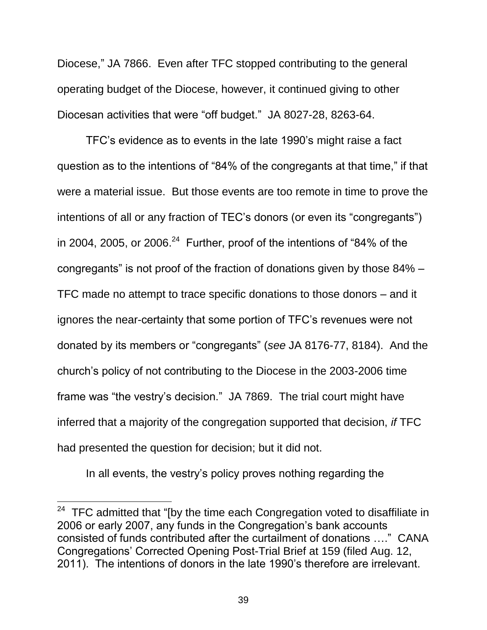Diocese," JA 7866. Even after TFC stopped contributing to the general operating budget of the Diocese, however, it continued giving to other Diocesan activities that were "off budget." JA 8027-28, 8263-64.

TFC's evidence as to events in the late 1990's might raise a fact question as to the intentions of "84% of the congregants at that time," if that were a material issue. But those events are too remote in time to prove the intentions of all or any fraction of TEC's donors (or even its "congregants") in 2004, 2005, or 2006. $^{24}$  Further, proof of the intentions of "84% of the congregants" is not proof of the fraction of donations given by those 84% – TFC made no attempt to trace specific donations to those donors – and it ignores the near-certainty that some portion of TFC's revenues were not donated by its members or "congregants" (*see* JA 8176-77, 8184). And the church's policy of not contributing to the Diocese in the 2003-2006 time frame was "the vestry's decision." JA 7869. The trial court might have inferred that a majority of the congregation supported that decision, *if* TFC had presented the question for decision; but it did not.

In all events, the vestry's policy proves nothing regarding the

 $24$  TFC admitted that "[by the time each Congregation voted to disaffiliate in 2006 or early 2007, any funds in the Congregation's bank accounts consisted of funds contributed after the curtailment of donations …." CANA Congregations' Corrected Opening Post-Trial Brief at 159 (filed Aug. 12, 2011). The intentions of donors in the late 1990's therefore are irrelevant.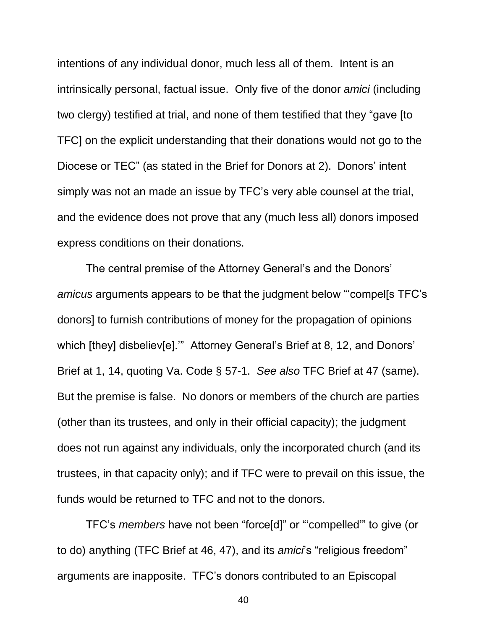intentions of any individual donor, much less all of them. Intent is an intrinsically personal, factual issue. Only five of the donor *amici* (including two clergy) testified at trial, and none of them testified that they "gave [to TFC] on the explicit understanding that their donations would not go to the Diocese or TEC" (as stated in the Brief for Donors at 2). Donors' intent simply was not an made an issue by TFC's very able counsel at the trial, and the evidence does not prove that any (much less all) donors imposed express conditions on their donations.

The central premise of the Attorney General's and the Donors' *amicus* arguments appears to be that the judgment below "'compel[s TFC's donors] to furnish contributions of money for the propagation of opinions which [they] disbeliev[e].'" Attorney General's Brief at 8, 12, and Donors' Brief at 1, 14, quoting Va. Code § 57-1. *See also* TFC Brief at 47 (same). But the premise is false. No donors or members of the church are parties (other than its trustees, and only in their official capacity); the judgment does not run against any individuals, only the incorporated church (and its trustees, in that capacity only); and if TFC were to prevail on this issue, the funds would be returned to TFC and not to the donors.

TFC's *members* have not been "force[d]" or "'compelled'" to give (or to do) anything (TFC Brief at 46, 47), and its *amici*'s "religious freedom" arguments are inapposite. TFC's donors contributed to an Episcopal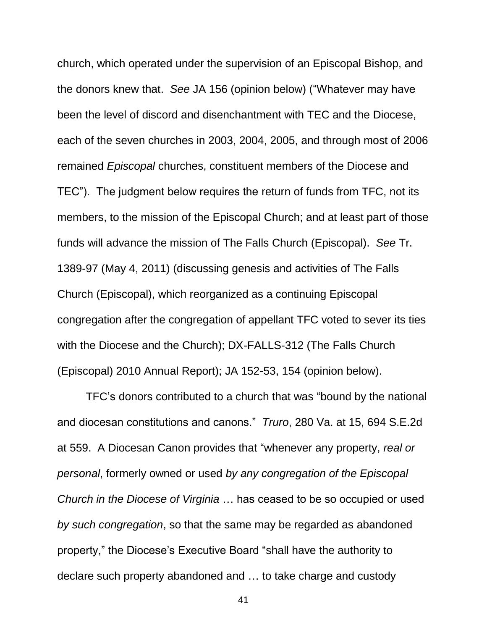church, which operated under the supervision of an Episcopal Bishop, and the donors knew that. *See* JA 156 (opinion below) ("Whatever may have been the level of discord and disenchantment with TEC and the Diocese, each of the seven churches in 2003, 2004, 2005, and through most of 2006 remained *Episcopal* churches, constituent members of the Diocese and TEC"). The judgment below requires the return of funds from TFC, not its members, to the mission of the Episcopal Church; and at least part of those funds will advance the mission of The Falls Church (Episcopal). *See* Tr. 1389-97 (May 4, 2011) (discussing genesis and activities of The Falls Church (Episcopal), which reorganized as a continuing Episcopal congregation after the congregation of appellant TFC voted to sever its ties with the Diocese and the Church); DX-FALLS-312 (The Falls Church (Episcopal) 2010 Annual Report); JA 152-53, 154 (opinion below).

<span id="page-48-0"></span>TFC's donors contributed to a church that was "bound by the national and diocesan constitutions and canons." *Truro*, 280 Va. at 15, 694 S.E.2d at 559. A Diocesan Canon provides that "whenever any property, *real or personal*, formerly owned or used *by any congregation of the Episcopal Church in the Diocese of Virginia* … has ceased to be so occupied or used *by such congregation*, so that the same may be regarded as abandoned property," the Diocese's Executive Board "shall have the authority to declare such property abandoned and … to take charge and custody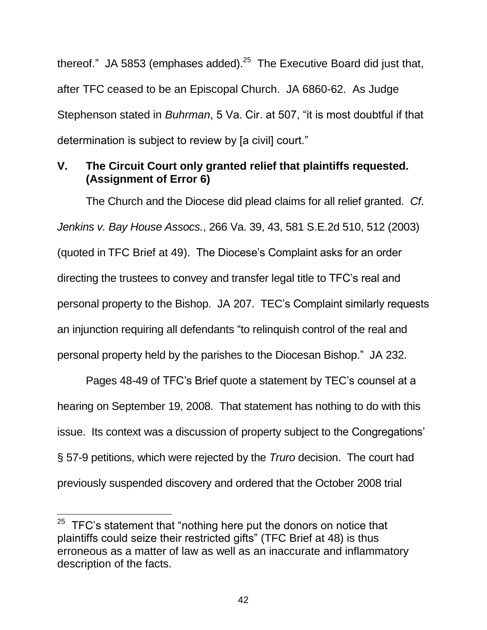thereof." JA 5853 (emphases added). $25$  The Executive Board did just that, after TFC ceased to be an Episcopal Church. JA 6860-62. As Judge Stephenson stated in *Buhrman*, 5 Va. Cir. at 507, "it is most doubtful if that determination is subject to review by [a civil] court."

### <span id="page-49-1"></span><span id="page-49-0"></span>**V. The Circuit Court only granted relief that plaintiffs requested. (Assignment of Error 6)**

<span id="page-49-2"></span>The Church and the Diocese did plead claims for all relief granted. *Cf*. *Jenkins v. Bay House Assocs.*, 266 Va. 39, 43, 581 S.E.2d 510, 512 (2003) (quoted in TFC Brief at 49). The Diocese's Complaint asks for an order directing the trustees to convey and transfer legal title to TFC's real and personal property to the Bishop. JA 207. TEC's Complaint similarly requests an injunction requiring all defendants "to relinquish control of the real and personal property held by the parishes to the Diocesan Bishop." JA 232.

Pages 48-49 of TFC's Brief quote a statement by TEC's counsel at a hearing on September 19, 2008. That statement has nothing to do with this issue. Its context was a discussion of property subject to the Congregations' § 57-9 petitions, which were rejected by the *Truro* decision. The court had previously suspended discovery and ordered that the October 2008 trial

<span id="page-49-3"></span> $25$  TFC's statement that "nothing here put the donors on notice that plaintiffs could seize their restricted gifts" (TFC Brief at 48) is thus erroneous as a matter of law as well as an inaccurate and inflammatory description of the facts.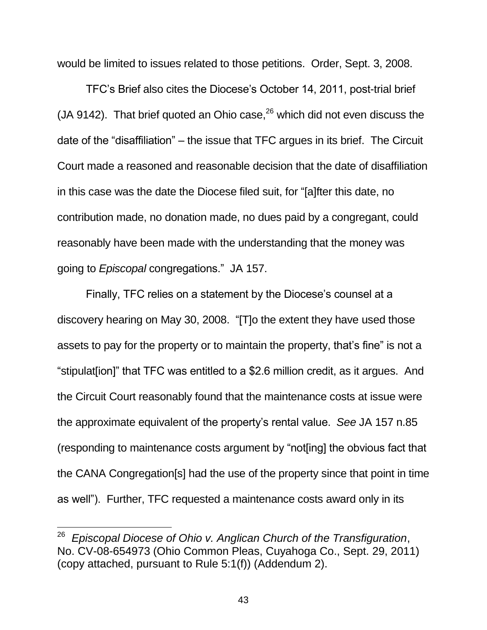would be limited to issues related to those petitions. Order, Sept. 3, 2008.

TFC's Brief also cites the Diocese's October 14, 2011, post-trial brief (JA 9142). That brief quoted an Ohio case,  $26$  which did not even discuss the date of the "disaffiliation" – the issue that TFC argues in its brief. The Circuit Court made a reasoned and reasonable decision that the date of disaffiliation in this case was the date the Diocese filed suit, for "[a]fter this date, no contribution made, no donation made, no dues paid by a congregant, could reasonably have been made with the understanding that the money was going to *Episcopal* congregations." JA 157.

Finally, TFC relies on a statement by the Diocese's counsel at a discovery hearing on May 30, 2008. "[T]o the extent they have used those assets to pay for the property or to maintain the property, that's fine" is not a "stipulat[ion]" that TFC was entitled to a \$2.6 million credit, as it argues. And the Circuit Court reasonably found that the maintenance costs at issue were the approximate equivalent of the property's rental value. *See* JA 157 n.85 (responding to maintenance costs argument by "not[ing] the obvious fact that the CANA Congregation[s] had the use of the property since that point in time as well"). Further, TFC requested a maintenance costs award only in its

<span id="page-50-0"></span><sup>26</sup> *Episcopal Diocese of Ohio v. Anglican Church of the Transfiguration*, No. CV-08-654973 (Ohio Common Pleas, Cuyahoga Co., Sept. 29, 2011) (copy attached, pursuant to Rule 5:1(f)) (Addendum 2).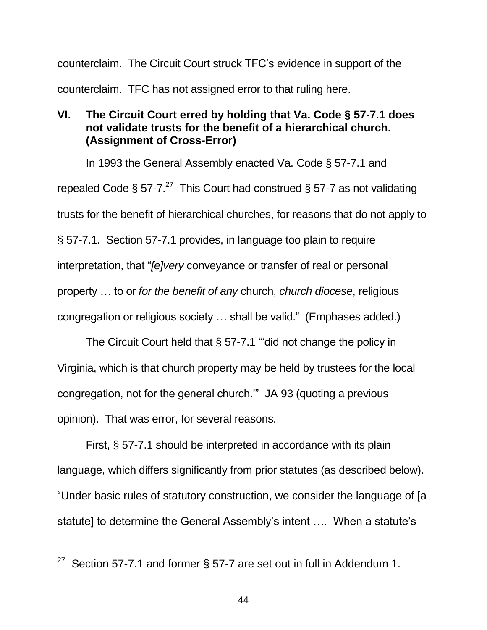counterclaim. The Circuit Court struck TFC's evidence in support of the counterclaim. TFC has not assigned error to that ruling here.

#### <span id="page-51-0"></span>**VI. The Circuit Court erred by holding that Va. Code § 57-7.1 does not validate trusts for the benefit of a hierarchical church. (Assignment of Cross-Error)**

<span id="page-51-1"></span>In 1993 the General Assembly enacted Va. Code § 57-7.1 and repealed Code § 57-7.<sup>27</sup> This Court had construed § 57-7 as not validating trusts for the benefit of hierarchical churches, for reasons that do not apply to § 57-7.1. Section 57-7.1 provides, in language too plain to require interpretation, that "*[e]very* conveyance or transfer of real or personal property … to or *for the benefit of any* church, *church diocese*, religious congregation or religious society … shall be valid." (Emphases added.)

The Circuit Court held that § 57-7.1 "'did not change the policy in Virginia, which is that church property may be held by trustees for the local congregation, not for the general church.'" JA 93 (quoting a previous opinion). That was error, for several reasons.

First, § 57-7.1 should be interpreted in accordance with its plain language, which differs significantly from prior statutes (as described below). "Under basic rules of statutory construction, we consider the language of [a statute] to determine the General Assembly's intent …. When a statute's

<sup>&</sup>lt;sup>27</sup> Section 57-7.1 and former § 57-7 are set out in full in Addendum 1.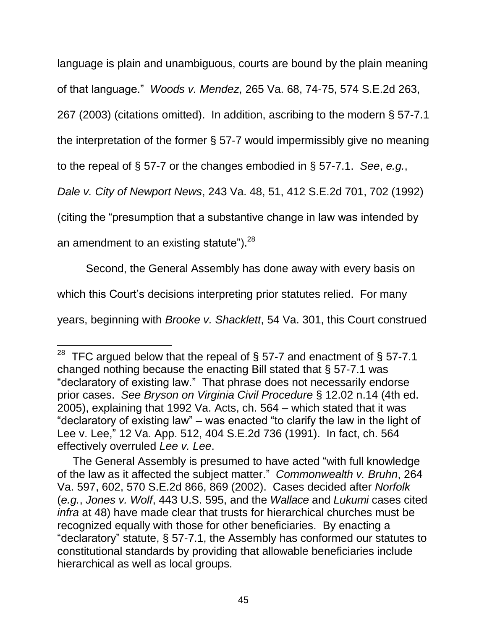language is plain and unambiguous, courts are bound by the plain meaning

<span id="page-52-2"></span>of that language." *Woods v. Mendez*, 265 Va. 68, 74-75, 574 S.E.2d 263,

267 (2003) (citations omitted). In addition, ascribing to the modern § 57-7.1

the interpretation of the former § 57-7 would impermissibly give no meaning

to the repeal of § 57-7 or the changes embodied in § 57-7.1. *See*, *e.g.*,

<span id="page-52-1"></span>*Dale v. City of Newport News*, 243 Va. 48, 51, 412 S.E.2d 701, 702 (1992)

(citing the "presumption that a substantive change in law was intended by

an amendment to an existing statute"). $^{28}$ 

 $\overline{a}$ 

<span id="page-52-0"></span>Second, the General Assembly has done away with every basis on

which this Court's decisions interpreting prior statutes relied. For many

years, beginning with *Brooke v. Shacklett*, 54 Va. 301, this Court construed

<span id="page-52-4"></span><span id="page-52-3"></span><sup>&</sup>lt;sup>28</sup> TFC argued below that the repeal of § 57-7 and enactment of § 57-7.1 changed nothing because the enacting Bill stated that § 57-7.1 was "declaratory of existing law." That phrase does not necessarily endorse prior cases. *See Bryson on Virginia Civil Procedure* § 12.02 n.14 (4th ed. 2005), explaining that 1992 Va. Acts, ch. 564 – which stated that it was "declaratory of existing law" – was enacted "to clarify the law in the light of Lee v. Lee," 12 Va. App. 512, 404 S.E.2d 736 (1991). In fact, ch. 564 effectively overruled *Lee v. Lee*.

The General Assembly is presumed to have acted "with full knowledge of the law as it affected the subject matter." *Commonwealth v. Bruhn*, 264 Va. 597, 602, 570 S.E.2d 866, 869 (2002). Cases decided after *Norfolk* (*e.g.*, *Jones v. Wolf*, 443 U.S. 595, and the *Wallace* and *Lukumi* cases cited *infra* at 48) have made clear that trusts for hierarchical churches must be recognized equally with those for other beneficiaries. By enacting a "declaratory" statute, § 57-7.1, the Assembly has conformed our statutes to constitutional standards by providing that allowable beneficiaries include hierarchical as well as local groups.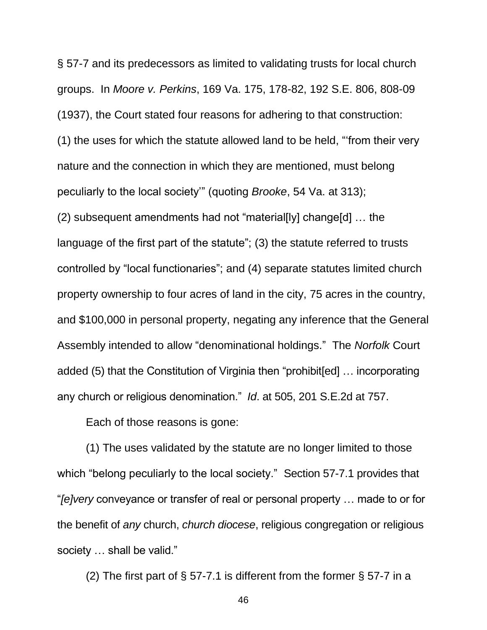<span id="page-53-0"></span>§ 57-7 and its predecessors as limited to validating trusts for local church groups. In *Moore v. Perkins*, 169 Va. 175, 178-82, 192 S.E. 806, 808-09 (1937), the Court stated four reasons for adhering to that construction: (1) the uses for which the statute allowed land to be held, "'from their very nature and the connection in which they are mentioned, must belong peculiarly to the local society'" (quoting *Brooke*, 54 Va. at 313); (2) subsequent amendments had not "material[ly] change[d] … the language of the first part of the statute"; (3) the statute referred to trusts controlled by "local functionaries"; and (4) separate statutes limited church property ownership to four acres of land in the city, 75 acres in the country, and \$100,000 in personal property, negating any inference that the General Assembly intended to allow "denominational holdings." The *Norfolk* Court added (5) that the Constitution of Virginia then "prohibit[ed] … incorporating any church or religious denomination." *Id*. at 505, 201 S.E.2d at 757.

Each of those reasons is gone:

(1) The uses validated by the statute are no longer limited to those which "belong peculiarly to the local society." Section 57-7.1 provides that "*[e]very* conveyance or transfer of real or personal property … made to or for the benefit of *any* church, *church diocese*, religious congregation or religious society … shall be valid."

(2) The first part of  $\S$  57-7.1 is different from the former  $\S$  57-7 in a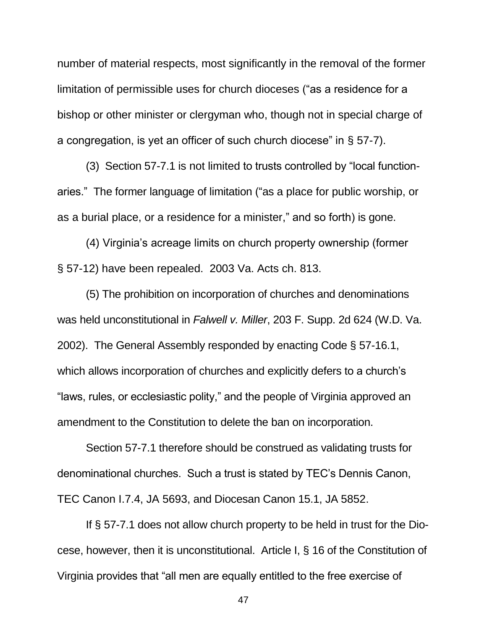number of material respects, most significantly in the removal of the former limitation of permissible uses for church dioceses ("as a residence for a bishop or other minister or clergyman who, though not in special charge of a congregation, is yet an officer of such church diocese" in § 57-7).

(3) Section 57-7.1 is not limited to trusts controlled by "local functionaries." The former language of limitation ("as a place for public worship, or as a burial place, or a residence for a minister," and so forth) is gone.

<span id="page-54-2"></span><span id="page-54-1"></span>(4) Virginia's acreage limits on church property ownership (former § 57-12) have been repealed. 2003 Va. Acts ch. 813.

<span id="page-54-0"></span>(5) The prohibition on incorporation of churches and denominations was held unconstitutional in *Falwell v. Miller*, 203 F. Supp. 2d 624 (W.D. Va. 2002). The General Assembly responded by enacting Code § 57-16.1, which allows incorporation of churches and explicitly defers to a church's "laws, rules, or ecclesiastic polity," and the people of Virginia approved an amendment to the Constitution to delete the ban on incorporation.

Section 57-7.1 therefore should be construed as validating trusts for denominational churches. Such a trust is stated by TEC's Dennis Canon, TEC Canon I.7.4, JA 5693, and Diocesan Canon 15.1, JA 5852.

<span id="page-54-3"></span>If § 57-7.1 does not allow church property to be held in trust for the Diocese, however, then it is unconstitutional. Article I, § 16 of the Constitution of Virginia provides that "all men are equally entitled to the free exercise of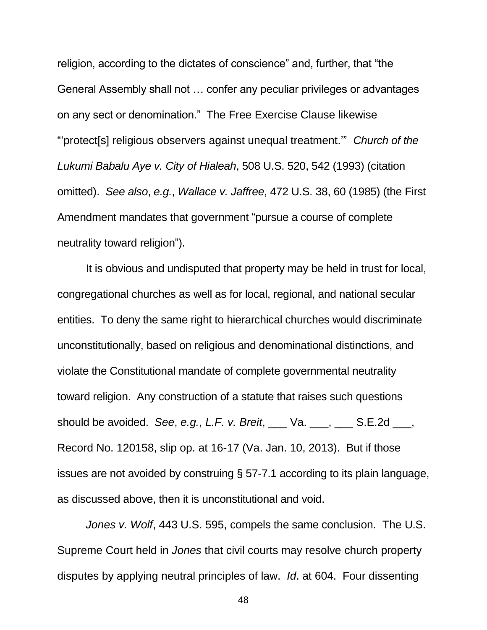religion, according to the dictates of conscience" and, further, that "the General Assembly shall not … confer any peculiar privileges or advantages on any sect or denomination." The Free Exercise Clause likewise "'protect[s] religious observers against unequal treatment.'" *Church of the Lukumi Babalu Aye v. City of Hialeah*, 508 U.S. 520, 542 (1993) (citation omitted). *See also*, *e.g.*, *Wallace v. Jaffree*, 472 U.S. 38, 60 (1985) (the First Amendment mandates that government "pursue a course of complete neutrality toward religion").

<span id="page-55-1"></span>It is obvious and undisputed that property may be held in trust for local, congregational churches as well as for local, regional, and national secular entities. To deny the same right to hierarchical churches would discriminate unconstitutionally, based on religious and denominational distinctions, and violate the Constitutional mandate of complete governmental neutrality toward religion. Any construction of a statute that raises such questions should be avoided. *See*, *e.g.*, *L.F. v. Breit*, \_\_\_ Va. \_\_\_, \_\_\_ S.E.2d \_\_\_, Record No. 120158, slip op. at 16-17 (Va. Jan. 10, 2013). But if those issues are not avoided by construing § 57-7.1 according to its plain language, as discussed above, then it is unconstitutional and void.

<span id="page-55-0"></span>*Jones v. Wolf*, 443 U.S. 595, compels the same conclusion. The U.S. Supreme Court held in *Jones* that civil courts may resolve church property disputes by applying neutral principles of law. *Id*. at 604. Four dissenting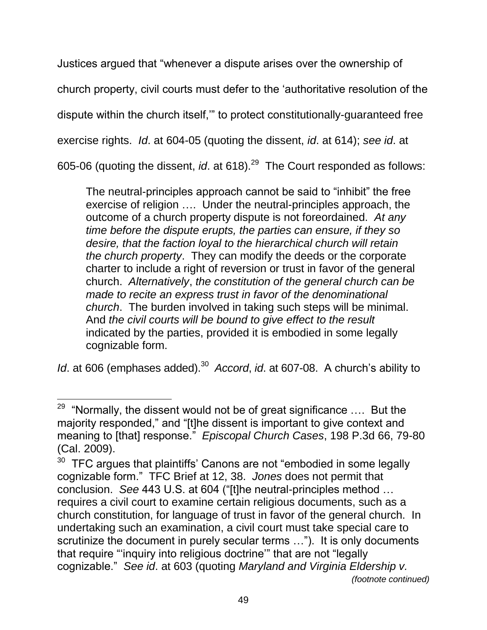Justices argued that "whenever a dispute arises over the ownership of church property, civil courts must defer to the 'authoritative resolution of the dispute within the church itself,'" to protect constitutionally-guaranteed free exercise rights. *Id*. at 604-05 (quoting the dissent, *id*. at 614); *see id*. at 605-06 (quoting the dissent, *id*. at 618).<sup>29</sup> The Court responded as follows:

The neutral-principles approach cannot be said to "inhibit" the free exercise of religion …. Under the neutral-principles approach, the outcome of a church property dispute is not foreordained. *At any time before the dispute erupts, the parties can ensure, if they so desire, that the faction loyal to the hierarchical church will retain the church property*. They can modify the deeds or the corporate charter to include a right of reversion or trust in favor of the general church. *Alternatively*, *the constitution of the general church can be made to recite an express trust in favor of the denominational church*. The burden involved in taking such steps will be minimal. And *the civil courts will be bound to give effect to the result* indicated by the parties, provided it is embodied in some legally cognizable form.

*Id.* at 606 (emphases added).<sup>30</sup> Accord, *id.* at 607-08. A church's ability to

 $\overline{a}$  $29$  "Normally, the dissent would not be of great significance .... But the majority responded," and "[t]he dissent is important to give context and meaning to [that] response." *Episcopal Church Cases*, 198 P.3d 66, 79-80 (Cal. 2009).

 $30$  TFC argues that plaintiffs' Canons are not "embodied in some legally cognizable form." TFC Brief at 12, 38. *Jones* does not permit that conclusion. *See* 443 U.S. at 604 ("[t]he neutral-principles method … requires a civil court to examine certain religious documents, such as a church constitution, for language of trust in favor of the general church. In undertaking such an examination, a civil court must take special care to scrutinize the document in purely secular terms …"). It is only documents that require "'inquiry into religious doctrine'" that are not "legally cognizable." *See id*. at 603 (quoting *Maryland and Virginia Eldership v. (footnote continued)*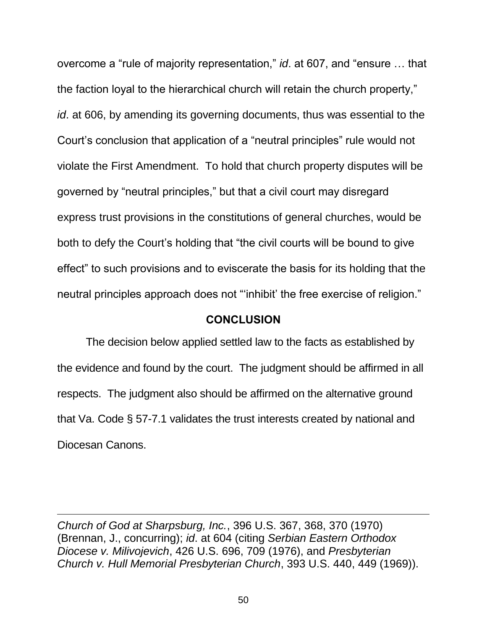<span id="page-57-1"></span>overcome a "rule of majority representation," *id*. at 607, and "ensure … that the faction loyal to the hierarchical church will retain the church property," *id*. at 606, by amending its governing documents, thus was essential to the Court's conclusion that application of a "neutral principles" rule would not violate the First Amendment. To hold that church property disputes will be governed by "neutral principles," but that a civil court may disregard express trust provisions in the constitutions of general churches, would be both to defy the Court's holding that "the civil courts will be bound to give effect" to such provisions and to eviscerate the basis for its holding that the neutral principles approach does not "'inhibit' the free exercise of religion."

#### **CONCLUSION**

<span id="page-57-0"></span>The decision below applied settled law to the facts as established by the evidence and found by the court. The judgment should be affirmed in all respects. The judgment also should be affirmed on the alternative ground that Va. Code § 57-7.1 validates the trust interests created by national and Diocesan Canons.

*Church of God at Sharpsburg, Inc.*, 396 U.S. 367, 368, 370 (1970) (Brennan, J., concurring); *id*. at 604 (citing *Serbian Eastern Orthodox Diocese v. Milivojevich*, 426 U.S. 696, 709 (1976), and *Presbyterian Church v. Hull Memorial Presbyterian Church*, 393 U.S. 440, 449 (1969)).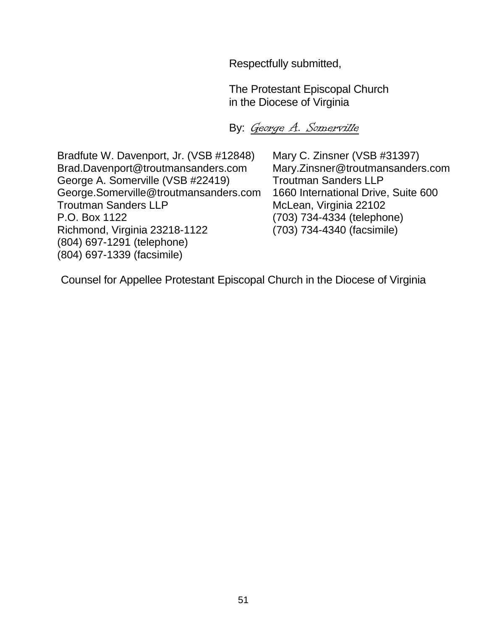Respectfully submitted,

The Protestant Episcopal Church in the Diocese of Virginia

By: George A. Somerville

Bradfute W. Davenport, Jr. (VSB #12848) Mary C. Zinsner (VSB #31397) Brad.Davenport@troutmansanders.com Mary.Zinsner@troutmansanders.com George A. Somerville (VSB #22419) Troutman Sanders LLP [George.Somerville@troutmansanders.com](mailto:George.Somerville@troutmansanders.com) 1660 International Drive, Suite 600 Troutman Sanders LLP McLean, Virginia 22102 P.O. Box 1122 (703) 734-4334 (telephone) Richmond, Virginia 23218-1122 (703) 734-4340 (facsimile) (804) 697-1291 (telephone) (804) 697-1339 (facsimile)

Counsel for Appellee Protestant Episcopal Church in the Diocese of Virginia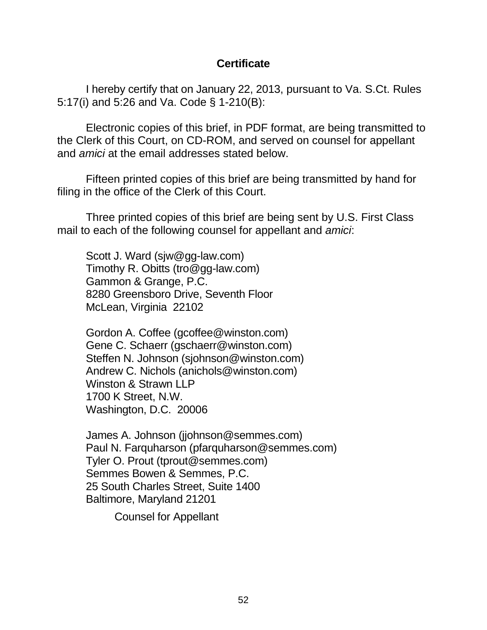#### <span id="page-59-1"></span><span id="page-59-0"></span>**Certificate**

I hereby certify that on January 22, 2013, pursuant to Va. S.Ct. Rules 5:17(i) and 5:26 and Va. Code § 1-210(B):

Electronic copies of this brief, in PDF format, are being transmitted to the Clerk of this Court, on CD-ROM, and served on counsel for appellant and *amici* at the email addresses stated below.

Fifteen printed copies of this brief are being transmitted by hand for filing in the office of the Clerk of this Court.

Three printed copies of this brief are being sent by U.S. First Class mail to each of the following counsel for appellant and *amici*:

Scott J. Ward (sjw@gg-law.com) Timothy R. Obitts (tro@gg-law.com) Gammon & Grange, P.C. 8280 Greensboro Drive, Seventh Floor McLean, Virginia 22102

Gordon A. Coffee (gcoffee@winston.com) Gene C. Schaerr (gschaerr@winston.com) Steffen N. Johnson (sjohnson@winston.com) Andrew C. Nichols (anichols@winston.com) Winston & Strawn LLP 1700 K Street, N.W. Washington, D.C. 20006

James A. Johnson (jjohnson@semmes.com) Paul N. Farquharson (pfarquharson@semmes.com) Tyler O. Prout [\(tprout@semmes.com\)](mailto:tprout@semmes.com) Semmes Bowen & Semmes, P.C. 25 South Charles Street, Suite 1400 Baltimore, Maryland 21201

Counsel for Appellant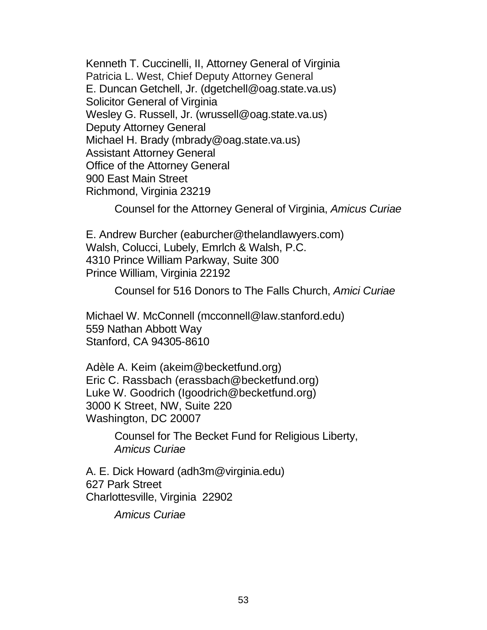Kenneth T. Cuccinelli, II, Attorney General of Virginia Patricia L. West, Chief Deputy Attorney General E. Duncan Getchell, Jr. (dgetchell@oag.state.va.us) Solicitor General of Virginia Wesley G. Russell, Jr. (wrussell@oag.state.va.us) Deputy Attorney General Michael H. Brady (mbrady@oag.state.va.us) Assistant Attorney General Office of the Attorney General 900 East Main Street Richmond, Virginia 23219

Counsel for the Attorney General of Virginia, *Amicus Curiae*

E. Andrew Burcher (eaburcher@thelandlawyers.com) Walsh, Colucci, Lubely, Emrlch & Walsh, P.C. 4310 Prince William Parkway, Suite 300 Prince William, Virginia 22192

Counsel for 516 Donors to The Falls Church, *Amici Curiae*

Michael W. McConnell (mcconnell@law.stanford.edu) 559 Nathan Abbott Way Stanford, CA 94305-8610

Adèle A. Keim (akeim@becketfund.org) Eric C. Rassbach (erassbach@becketfund.org) Luke W. Goodrich (Igoodrich@becketfund.org) 3000 K Street, NW, Suite 220 Washington, DC 20007

> Counsel for The Becket Fund for Religious Liberty, *Amicus Curiae*

A. E. Dick Howard (adh3m@virginia.edu) 627 Park Street Charlottesville, Virginia 22902

*Amicus Curiae*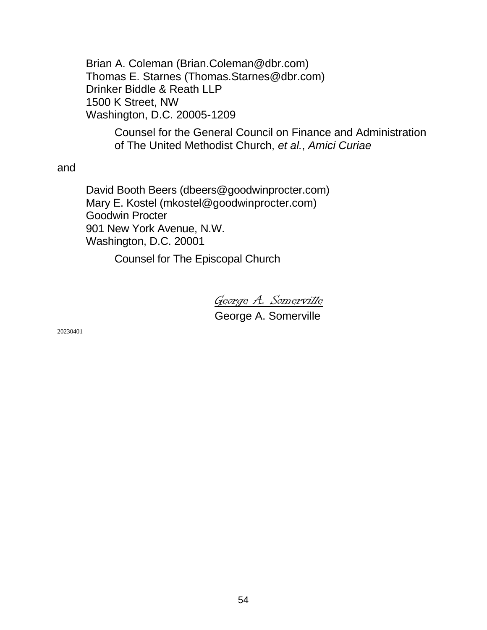Brian A. Coleman (Brian.Coleman@dbr.com) Thomas E. Starnes (Thomas.Starnes@dbr.com) Drinker Biddle & Reath LLP 1500 K Street, NW Washington, D.C. 20005-1209

> Counsel for the General Council on Finance and Administration of The United Methodist Church, *et al.*, *Amici Curiae*

and

David Booth Beers (dbeers@goodwinprocter.com) Mary E. Kostel [\(mkostel@goodwinprocter.com\)](mailto:mkostel@goodwinprocter.com) Goodwin Procter 901 New York Avenue, N.W. Washington, D.C. 20001

Counsel for The Episcopal Church

George A. Somerville George A. Somerville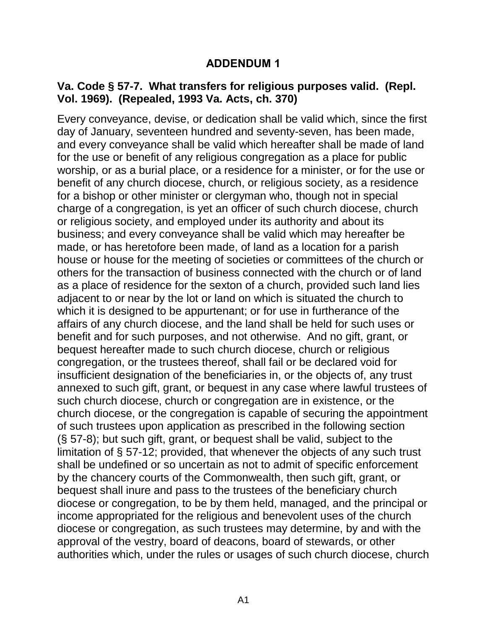#### **ADDENDUM 1**

#### <span id="page-62-0"></span>**Va. Code § 57-7. What transfers for religious purposes valid. (Repl. Vol. 1969). (Repealed, 1993 Va. Acts, ch. 370)**

Every conveyance, devise, or dedication shall be valid which, since the first day of January, seventeen hundred and seventy-seven, has been made, and every conveyance shall be valid which hereafter shall be made of land for the use or benefit of any religious congregation as a place for public worship, or as a burial place, or a residence for a minister, or for the use or benefit of any church diocese, church, or religious society, as a residence for a bishop or other minister or clergyman who, though not in special charge of a congregation, is yet an officer of such church diocese, church or religious society, and employed under its authority and about its business; and every conveyance shall be valid which may hereafter be made, or has heretofore been made, of land as a location for a parish house or house for the meeting of societies or committees of the church or others for the transaction of business connected with the church or of land as a place of residence for the sexton of a church, provided such land lies adjacent to or near by the lot or land on which is situated the church to which it is designed to be appurtenant; or for use in furtherance of the affairs of any church diocese, and the land shall be held for such uses or benefit and for such purposes, and not otherwise. And no gift, grant, or bequest hereafter made to such church diocese, church or religious congregation, or the trustees thereof, shall fail or be declared void for insufficient designation of the beneficiaries in, or the objects of, any trust annexed to such gift, grant, or bequest in any case where lawful trustees of such church diocese, church or congregation are in existence, or the church diocese, or the congregation is capable of securing the appointment of such trustees upon application as prescribed in the following section (§ 57-8); but such gift, grant, or bequest shall be valid, subject to the limitation of § 57-12; provided, that whenever the objects of any such trust shall be undefined or so uncertain as not to admit of specific enforcement by the chancery courts of the Commonwealth, then such gift, grant, or bequest shall inure and pass to the trustees of the beneficiary church diocese or congregation, to be by them held, managed, and the principal or income appropriated for the religious and benevolent uses of the church diocese or congregation, as such trustees may determine, by and with the approval of the vestry, board of deacons, board of stewards, or other authorities which, under the rules or usages of such church diocese, church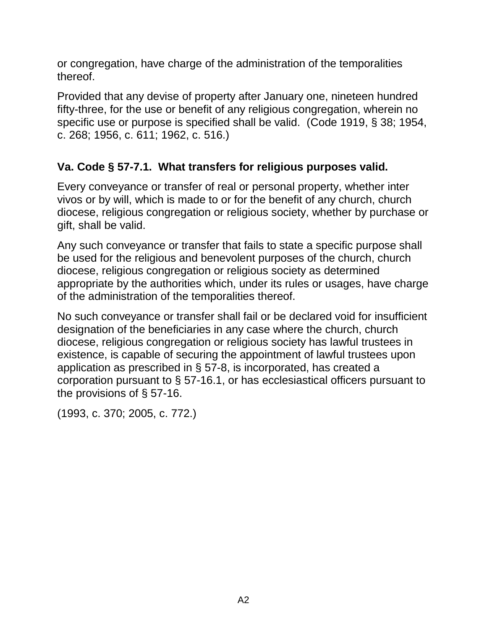or congregation, have charge of the administration of the temporalities thereof.

Provided that any devise of property after January one, nineteen hundred fifty-three, for the use or benefit of any religious congregation, wherein no specific use or purpose is specified shall be valid. (Code 1919, § 38; 1954, c. 268; 1956, c. 611; 1962, c. 516.)

## **Va. Code § 57-7.1. What transfers for religious purposes valid.**

Every conveyance or transfer of real or personal property, whether inter vivos or by will, which is made to or for the benefit of any church, church diocese, religious congregation or religious society, whether by purchase or gift, shall be valid.

Any such conveyance or transfer that fails to state a specific purpose shall be used for the religious and benevolent purposes of the church, church diocese, religious congregation or religious society as determined appropriate by the authorities which, under its rules or usages, have charge of the administration of the temporalities thereof.

No such conveyance or transfer shall fail or be declared void for insufficient designation of the beneficiaries in any case where the church, church diocese, religious congregation or religious society has lawful trustees in existence, is capable of securing the appointment of lawful trustees upon application as prescribed in § 57-8, is incorporated, has created a corporation pursuant to § 57-16.1, or has ecclesiastical officers pursuant to the provisions of § 57-16.

(1993, c. 370; 2005, c. 772.)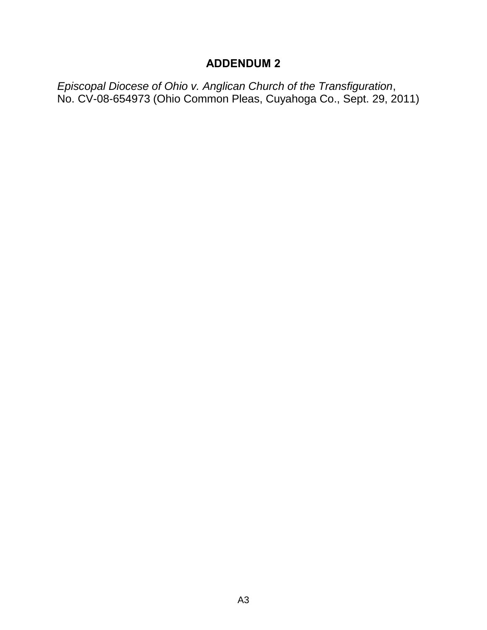## **ADDENDUM 2**

<span id="page-64-0"></span>*Episcopal Diocese of Ohio v. Anglican Church of the Transfiguration*, No. CV-08-654973 (Ohio Common Pleas, Cuyahoga Co., Sept. 29, 2011)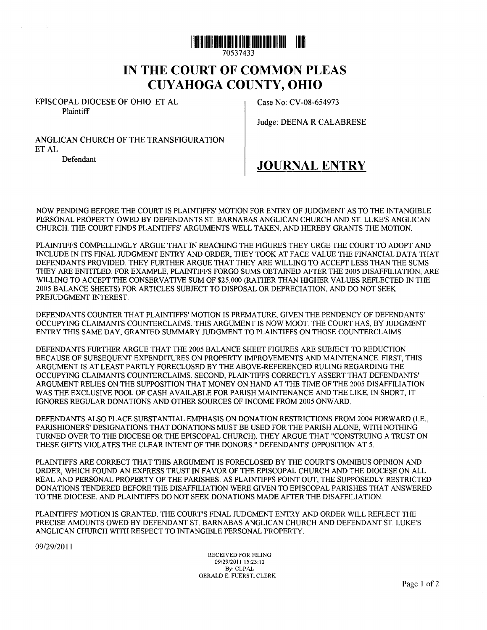

70537433

## **IN THE COURT OF COMMON PLEAS CUYAHOGA COUNTY, OHIO**

EPISCOPAL DIOCESE OF OHIO ET AL **Plaintiff** 

Case No: CV -08-654973

Judge: DEENA R CALABRESE

ANGLICAN CHURCH OF THE TRANSFIGURATION ETAL

Defendant

 $\sim$ 

**JOURNAL ENTRY** 

NOW PENDING BEFORE THE COURT IS PLAINTIFFS' MOTION FOR ENTRY OF JUDGMENT AS TO THE INTANGIBLE PERSONAL PROPERTY OWED BY DEFENDANTS ST. BARNABAS ANGLICAN CHURCH AND ST. LUKE'S ANGLICAN CHURCH. THE COURT FINDS PLAINTIFFS' ARGUMENTS WELL TAKEN, AND HEREBY GRANTS THE MOTION.

PLAINTIFFS COMPELLINGLY ARGUE THAT IN REACHING THE FIGURES THEY URGE THE COURT TO ADOPT AND INCLUDE IN ITS FINAL JUDGMENT ENTRY AND ORDER, THEY TOOK AT FACE VALVE THE FINANCIAL DATA THAT DEFENDANTS PROVIDED. THEY FURTHER ARGUE THAT THEY ARE WILLING TO ACCEPT LESS THAN THE SUMS THEY ARE ENTITLED. FOR EXAMPLE, PLAINTIFFS FORGO SUMS OBTAINED AFTER THE 2005 DISAFFILIATION, ARE WILLING TO ACCEPT THE CONSERVATIVE SUM OF \$25,000 (RATHER THAN HIGHER VALVES REFLECTED IN THE 2005 BALANCE SHEETS) FOR ARTICLES SUBJECT TO DISPOSAL OR DEPRECIATION, AND DO NOT SEEK PREJUDGMENT INTEREST.

DEFENDANTS COUNTER THAT PLAINTIFFS' MOTION IS PREMATURE, GIVEN THE PENDENCY OF DEFENDANTS' OCCUPYING CLAIMANTS COUNTERCLAIMS. THIS ARGUMENT IS NOW MOOT. THE COURT HAS, BY JUDGMENT ENTRY THIS SAME DAY, GRANTED SUMMARY JUDGMENT TO PLAINTIFFS ON THOSE COUNTERCLAIMS.

DEFENDANTS FURTHER ARGUE THAT THE 2005 BALANCE SHEET FIGURES ARE SUBJECT TO REDUCTION BECAUSE OF SUBSEQUENT EXPENDITURES ON PROPERTY IMPROVEMENTS AND MAINTENANCE. FIRST, THIS ARGUMENT IS AT LEAST PARTLY FORECLOSED BY THE ABOVE-REFERENCED RULING REGARDING THE OCCUPYING CLAIMANTS COUNTERCLAIMS. SECOND, PLAINTIFFS CORRECTLY ASSERT THAT DEFENDANTS' ARGUMENT RELIES ON THE SUPPOSITION THAT MONEY ON HAND AT THE TIME OF THE 2005 DISAFFILIATION WAS THE EXCLUSIVE POOL OF CASH AVAILABLE FOR PARISH MAINTENANCE AND THE LIKE. IN SHORT, IT IGNORES REGULAR DONATIONS AND OTHER SOURCES OF INCOME FROM 2005 ONWARD.

DEFENDANTS ALSO PLACE SUBSTANTIAL EMPHASIS ON DONATION RESTRICTIONS FROM 2004 FORWARD (I.E., PARISHIONERS' DESIGNATIONS THAT DONATIONS MUST BE USED FOR THE PARISH ALONE, WITH NOTHING TURNED OVER TO THE DIOCESE OR THE EPISCOPAL CHURCH). THEY ARGUE THAT "CONSTRUING A TRUST ON THESE GIFTS VIOLATES THE CLEAR INTENT OF THE DONORS." DEFENDANTS' OPPOSITION AT 5.

PLAINTIFFS ARE CORRECT THAT THIS ARGUMENT IS FORECLOSED BY THE COURT'S OMNIBUS OPINION AND ORDER, WHICH FOUND AN EXPRESS TRUST IN FAVOR OF THE EPISCOPAL CHURCH AND THE DIOCESE ON ALL REAL AND PERSONAL PROPERTY OF THE PARISHES. AS PLAINTIFFS POINT OUT, THE SUPPOSEDLY RESTRICTED DONATIONS TENDERED BEFORE THE DISAFFILIATION WERE GIVEN TO EPISCOPAL PARISHES THAT ANSWERED TO THE DIOCESE, AND PLAINTIFFS DO NOT SEEK DONATIONS MADE AFTER THE DISAFFILIATION.

PLAINTIFFS' MOTION IS GRANTED. THE COURT'S FINAL JUDGMENT ENTRY AND ORDER WILL REFLECT THE PRECISE AMOUNTS OWED BY DEFENDANT ST. BARNABAS ANGLICAN CHURCH AND DEFENDANT ST. LUKE'S ANGLICAN CHURCH WITH RESPECT TO INTANGIBLE PERSONAL PROPERTY.

09/2912011

RECEIVED FOR FILING 09/29/201115:23:12 By: CLPAL GERALD E. FUERST, CLERK